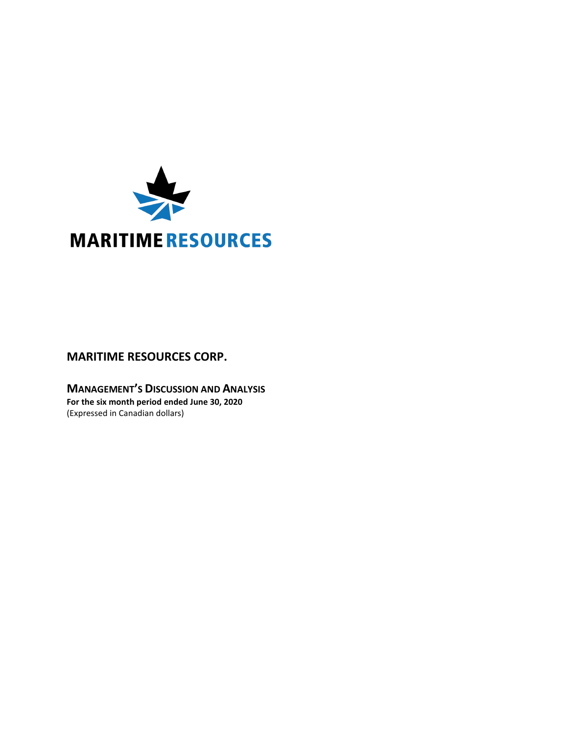

# **MARITIME RESOURCES CORP.**

**MANAGEMENT'S DISCUSSION AND ANALYSIS For the six month period ended June 30, 2020** (Expressed in Canadian dollars)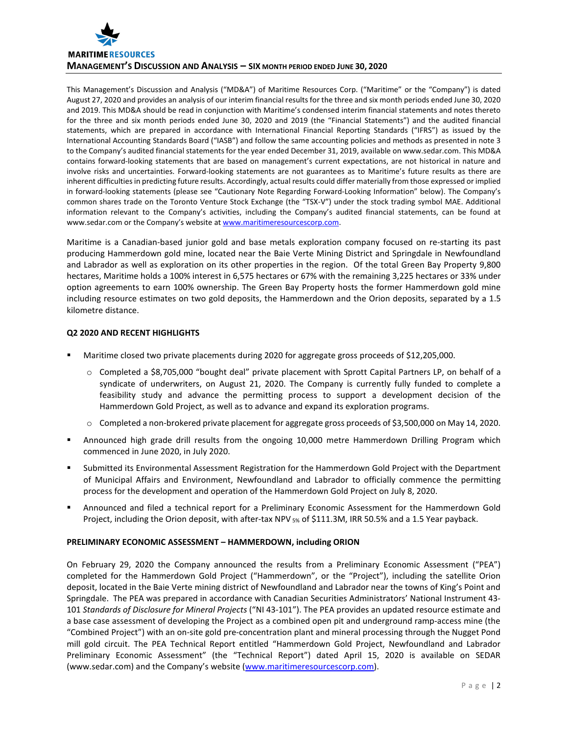

This Management's Discussion and Analysis ("MD&A") of Maritime Resources Corp. ("Maritime" or the "Company") is dated August 27, 2020 and provides an analysis of our interim financial results for the three and six month periods ended June 30, 2020 and 2019. This MD&A should be read in conjunction with Maritime's condensed interim financial statements and notes thereto for the three and six month periods ended June 30, 2020 and 2019 (the "Financial Statements") and the audited financial statements, which are prepared in accordance with International Financial Reporting Standards ("IFRS") as issued by the International Accounting Standards Board ("IASB") and follow the same accounting policies and methods as presented in note 3 to the Company's audited financial statements for the year ended December 31, 2019, available on www.sedar.com. This MD&A contains forward-looking statements that are based on management's current expectations, are not historical in nature and involve risks and uncertainties. Forward-looking statements are not guarantees as to Maritime's future results as there are inherent difficulties in predicting future results. Accordingly, actual results could differ materially from those expressed or implied in forward-looking statements (please see "Cautionary Note Regarding Forward-Looking Information" below). The Company's common shares trade on the Toronto Venture Stock Exchange (the "TSX-V") under the stock trading symbol MAE. Additional information relevant to the Company's activities, including the Company's audited financial statements, can be found at www.sedar.com or the Company's website a[t www.maritimeresourcescorp.com.](http://www.maritimeresources.com/)

Maritime is a Canadian-based junior gold and base metals exploration company focused on re-starting its past producing Hammerdown gold mine, located near the Baie Verte Mining District and Springdale in Newfoundland and Labrador as well as exploration on its other properties in the region. Of the total Green Bay Property 9,800 hectares, Maritime holds a 100% interest in 6,575 hectares or 67% with the remaining 3,225 hectares or 33% under option agreements to earn 100% ownership. The Green Bay Property hosts the former Hammerdown gold mine including resource estimates on two gold deposits, the Hammerdown and the Orion deposits, separated by a 1.5 kilometre distance.

# **Q2 2020 AND RECENT HIGHLIGHTS**

- Maritime closed two private placements during 2020 for aggregate gross proceeds of \$12,205,000.
	- o Completed a \$8,705,000 "bought deal" private placement with Sprott Capital Partners LP, on behalf of a syndicate of underwriters, on August 21, 2020. The Company is currently fully funded to complete a feasibility study and advance the permitting process to support a development decision of the Hammerdown Gold Project, as well as to advance and expand its exploration programs.
	- o Completed a non-brokered private placement for aggregate gross proceeds of \$3,500,000 on May 14, 2020.
- Announced high grade drill results from the ongoing 10,000 metre Hammerdown Drilling Program which commenced in June 2020, in July 2020.
- Submitted its Environmental Assessment Registration for the Hammerdown Gold Project with the Department of Municipal Affairs and Environment, Newfoundland and Labrador to officially commence the permitting process for the development and operation of the Hammerdown Gold Project on July 8, 2020.
- Announced and filed a technical report for a Preliminary Economic Assessment for the Hammerdown Gold Project, including the Orion deposit, with after-tax NPV  $_{5\%}$  of \$111.3M, IRR 50.5% and a 1.5 Year payback.

# **PRELIMINARY ECONOMIC ASSESSMENT – HAMMERDOWN, including ORION**

On February 29, 2020 the Company announced the results from a Preliminary Economic Assessment ("PEA") completed for the Hammerdown Gold Project ("Hammerdown", or the "Project"), including the satellite Orion deposit, located in the Baie Verte mining district of Newfoundland and Labrador near the towns of King's Point and Springdale. The PEA was prepared in accordance with Canadian Securities Administrators' National Instrument 43- 101 *Standards of Disclosure for Mineral Projects* ("NI 43-101"). The PEA provides an updated resource estimate and a base case assessment of developing the Project as a combined open pit and underground ramp-access mine (the "Combined Project") with an on-site gold pre-concentration plant and mineral processing through the Nugget Pond mill gold circuit. The PEA Technical Report entitled "Hammerdown Gold Project, Newfoundland and Labrador Preliminary Economic Assessment" (the "Technical Report") dated April 15, 2020 is available on SEDAR (www.sedar.com) and the Company's website [\(www.maritimeresourcescorp.com\)](http://www.maritimeresourcescorp.com/).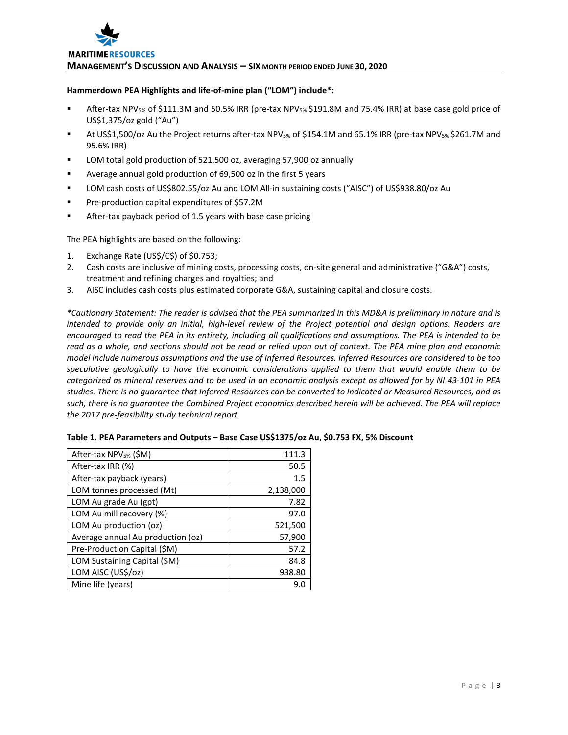#### **Hammerdown PEA Highlights and life-of-mine plan ("LOM") include\*:**

- After-tax NPV5% of \$111.3M and 50.5% IRR (pre-tax NPV5% \$191.8M and 75.4% IRR) at base case gold price of US\$1,375/oz gold ("Au")
- At US\$1,500/oz Au the Project returns after-tax NPV5% of \$154.1M and 65.1% IRR (pre-tax NPV5% \$261.7M and 95.6% IRR)
- LOM total gold production of 521,500 oz, averaging 57,900 oz annually
- Average annual gold production of 69,500 oz in the first 5 years
- LOM cash costs of US\$802.55/oz Au and LOM All-in sustaining costs ("AISC") of US\$938.80/oz Au
- **Pre-production capital expenditures of \$57.2M**
- After-tax payback period of 1.5 years with base case pricing

The PEA highlights are based on the following:

- 1. Exchange Rate (US\$/C\$) of \$0.753;
- 2. Cash costs are inclusive of mining costs, processing costs, on-site general and administrative ("G&A") costs, treatment and refining charges and royalties; and
- 3. AISC includes cash costs plus estimated corporate G&A, sustaining capital and closure costs.

*\*Cautionary Statement: The reader is advised that the PEA summarized in this MD&A is preliminary in nature and is intended to provide only an initial, high-level review of the Project potential and design options. Readers are encouraged to read the PEA in its entirety, including all qualifications and assumptions. The PEA is intended to be read as a whole, and sections should not be read or relied upon out of context. The PEA mine plan and economic model include numerous assumptions and the use of Inferred Resources. Inferred Resources are considered to be too speculative geologically to have the economic considerations applied to them that would enable them to be categorized as mineral reserves and to be used in an economic analysis except as allowed for by NI 43-101 in PEA studies. There is no guarantee that Inferred Resources can be converted to Indicated or Measured Resources, and as such, there is no guarantee the Combined Project economics described herein will be achieved. The PEA will replace the 2017 pre-feasibility study technical report.*

| After-tax NPV <sub>5%</sub> (\$M) | 111.3     |
|-----------------------------------|-----------|
| After-tax IRR (%)                 | 50.5      |
| After-tax payback (years)         | 1.5       |
| LOM tonnes processed (Mt)         | 2,138,000 |
| LOM Au grade Au (gpt)             | 7.82      |
| LOM Au mill recovery (%)          | 97.0      |
| LOM Au production (oz)            | 521,500   |
| Average annual Au production (oz) | 57,900    |
| Pre-Production Capital (\$M)      | 57.2      |
| LOM Sustaining Capital (\$M)      | 84.8      |
| LOM AISC (US\$/oz)                | 938.80    |
| Mine life (years)                 | 9.0       |

|  | Table 1. PEA Parameters and Outputs - Base Case US\$1375/oz Au, \$0.753 FX, 5% Discount |
|--|-----------------------------------------------------------------------------------------|
|--|-----------------------------------------------------------------------------------------|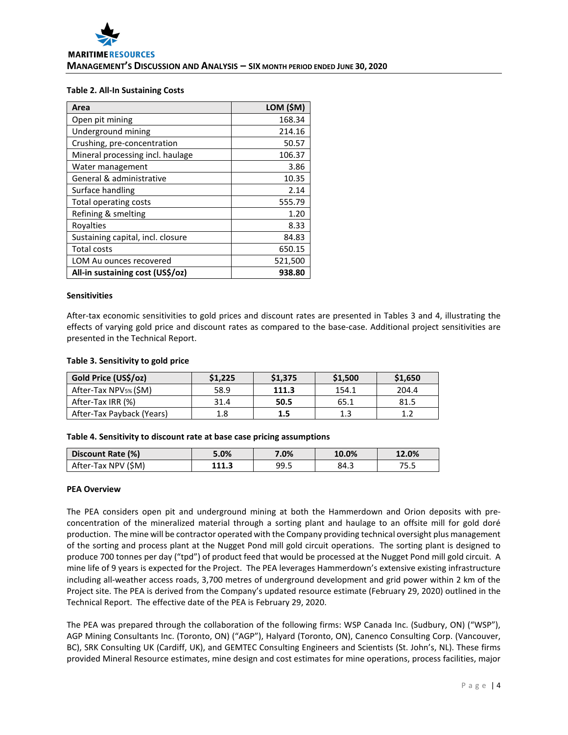#### **Table 2. All-In Sustaining Costs**

| Area                              | LOM (\$M) |
|-----------------------------------|-----------|
| Open pit mining                   | 168.34    |
| Underground mining                | 214.16    |
| Crushing, pre-concentration       | 50.57     |
| Mineral processing incl. haulage  | 106.37    |
| Water management                  | 3.86      |
| General & administrative          | 10.35     |
| Surface handling                  | 2.14      |
| Total operating costs             | 555.79    |
| Refining & smelting               | 1.20      |
| Royalties                         | 8.33      |
| Sustaining capital, incl. closure | 84.83     |
| <b>Total costs</b>                | 650.15    |
| LOM Au ounces recovered           | 521,500   |
| All-in sustaining cost (US\$/oz)  | 938.80    |

#### **Sensitivities**

After-tax economic sensitivities to gold prices and discount rates are presented in Tables 3 and 4, illustrating the effects of varying gold price and discount rates as compared to the base-case. Additional project sensitivities are presented in the Technical Report.

#### **Table 3. Sensitivity to gold price**

| Gold Price (US\$/oz)              | \$1,225 | \$1,375 | \$1,500 | \$1,650 |
|-----------------------------------|---------|---------|---------|---------|
| After-Tax NPV <sub>5%</sub> (\$M) | 58.9    | 111.3   | 154.1   | 204.4   |
| After-Tax IRR (%)                 | 31.4    | 50.5    | 65.1    | 81.5    |
| After-Tax Payback (Years)         | 1.8     | 1.5     | 1.3     | 1 7     |

## **Table 4. Sensitivity to discount rate at base case pricing assumptions**

| Discount Rate (%)   | 5.0%  | 7.0% | 10.0% | 12.0% |
|---------------------|-------|------|-------|-------|
| After-Tax NPV (\$M) | 111.3 | 99.5 | 84.3  | כ.כ   |

## **PEA Overview**

The PEA considers open pit and underground mining at both the Hammerdown and Orion deposits with preconcentration of the mineralized material through a sorting plant and haulage to an offsite mill for gold doré production. The mine will be contractor operated with the Company providing technical oversight plus management of the sorting and process plant at the Nugget Pond mill gold circuit operations. The sorting plant is designed to produce 700 tonnes per day ("tpd") of product feed that would be processed at the Nugget Pond mill gold circuit. A mine life of 9 years is expected for the Project. The PEA leverages Hammerdown's extensive existing infrastructure including all-weather access roads, 3,700 metres of underground development and grid power within 2 km of the Project site. The PEA is derived from the Company's updated resource estimate (February 29, 2020) outlined in the Technical Report. The effective date of the PEA is February 29, 2020.

The PEA was prepared through the collaboration of the following firms: WSP Canada Inc. (Sudbury, ON) ("WSP"), AGP Mining Consultants Inc. (Toronto, ON) ("AGP"), Halyard (Toronto, ON), Canenco Consulting Corp. (Vancouver, BC), SRK Consulting UK (Cardiff, UK), and GEMTEC Consulting Engineers and Scientists (St. John's, NL). These firms provided Mineral Resource estimates, mine design and cost estimates for mine operations, process facilities, major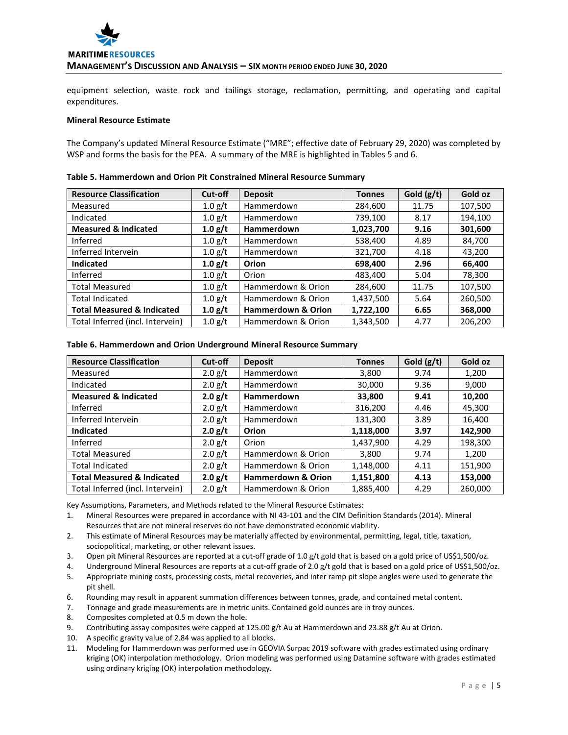

equipment selection, waste rock and tailings storage, reclamation, permitting, and operating and capital expenditures.

#### **Mineral Resource Estimate**

The Company's updated Mineral Resource Estimate ("MRE"; effective date of February 29, 2020) was completed by WSP and forms the basis for the PEA. A summary of the MRE is highlighted in Tables 5 and 6.

| <b>Resource Classification</b>        | Cut-off   | <b>Deposit</b>                | <b>Tonnes</b> | Gold (g/t) | Gold oz |
|---------------------------------------|-----------|-------------------------------|---------------|------------|---------|
| Measured                              | 1.0 g/t   | Hammerdown                    | 284,600       | 11.75      | 107,500 |
| Indicated                             | 1.0 g/t   | Hammerdown                    | 739,100       | 8.17       | 194,100 |
| <b>Measured &amp; Indicated</b>       | 1.0 g/t   | Hammerdown                    | 1,023,700     | 9.16       | 301,600 |
| Inferred                              | 1.0 g/t   | Hammerdown                    | 538,400       | 4.89       | 84,700  |
| Inferred Intervein                    | 1.0 g/t   | Hammerdown                    | 321,700       | 4.18       | 43,200  |
| Indicated                             | 1.0 g/t   | Orion                         | 698,400       | 2.96       | 66,400  |
| Inferred                              | 1.0 g/t   | Orion                         | 483,400       | 5.04       | 78,300  |
| <b>Total Measured</b>                 | 1.0 g/t   | Hammerdown & Orion            | 284,600       | 11.75      | 107,500 |
| <b>Total Indicated</b>                | 1.0 g/t   | Hammerdown & Orion            | 1,437,500     | 5.64       | 260,500 |
| <b>Total Measured &amp; Indicated</b> | 1.0 g/t   | <b>Hammerdown &amp; Orion</b> | 1,722,100     | 6.65       | 368,000 |
| Total Inferred (incl. Intervein)      | $1.0$ g/t | Hammerdown & Orion            | 1,343,500     | 4.77       | 206,200 |

#### **Table 5. Hammerdown and Orion Pit Constrained Mineral Resource Summary**

#### **Table 6. Hammerdown and Orion Underground Mineral Resource Summary**

| <b>Resource Classification</b>        | Cut-off   | <b>Deposit</b>                | <b>Tonnes</b> | Gold $(g/t)$ | Gold oz |
|---------------------------------------|-----------|-------------------------------|---------------|--------------|---------|
| Measured                              | 2.0 g/t   | Hammerdown                    | 3,800         | 9.74         | 1,200   |
| Indicated                             | $2.0$ g/t | <b>Hammerdown</b>             | 30,000        | 9.36         | 9,000   |
| <b>Measured &amp; Indicated</b>       | 2.0 g/t   | <b>Hammerdown</b>             | 33,800        | 9.41         | 10,200  |
| Inferred                              | $2.0$ g/t | Hammerdown                    | 316,200       | 4.46         | 45,300  |
| Inferred Intervein                    | 2.0 g/t   | <b>Hammerdown</b>             | 131,300       | 3.89         | 16,400  |
| <b>Indicated</b>                      | 2.0 g/t   | Orion                         | 1,118,000     | 3.97         | 142,900 |
| Inferred                              | $2.0$ g/t | Orion                         | 1,437,900     | 4.29         | 198,300 |
| <b>Total Measured</b>                 | $2.0$ g/t | Hammerdown & Orion            | 3,800         | 9.74         | 1,200   |
| <b>Total Indicated</b>                | $2.0$ g/t | Hammerdown & Orion            | 1,148,000     | 4.11         | 151,900 |
| <b>Total Measured &amp; Indicated</b> | 2.0 g/t   | <b>Hammerdown &amp; Orion</b> | 1,151,800     | 4.13         | 153,000 |
| Total Inferred (incl. Intervein)      | $2.0$ g/t | Hammerdown & Orion            | 1,885,400     | 4.29         | 260,000 |

Key Assumptions, Parameters, and Methods related to the Mineral Resource Estimates:

- 1. Mineral Resources were prepared in accordance with NI 43-101 and the CIM Definition Standards (2014). Mineral Resources that are not mineral reserves do not have demonstrated economic viability.
- 2. This estimate of Mineral Resources may be materially affected by environmental, permitting, legal, title, taxation, sociopolitical, marketing, or other relevant issues.
- 3. Open pit Mineral Resources are reported at a cut-off grade of 1.0 g/t gold that is based on a gold price of US\$1,500/oz.
- 4. Underground Mineral Resources are reports at a cut-off grade of 2.0 g/t gold that is based on a gold price of US\$1,500/oz.
- 5. Appropriate mining costs, processing costs, metal recoveries, and inter ramp pit slope angles were used to generate the pit shell.
- 6. Rounding may result in apparent summation differences between tonnes, grade, and contained metal content.
- 7. Tonnage and grade measurements are in metric units. Contained gold ounces are in troy ounces.
- 8. Composites completed at 0.5 m down the hole.
- 9. Contributing assay composites were capped at 125.00 g/t Au at Hammerdown and 23.88 g/t Au at Orion.
- 10. A specific gravity value of 2.84 was applied to all blocks.
- 11. Modeling for Hammerdown was performed use in GEOVIA Surpac 2019 software with grades estimated using ordinary kriging (OK) interpolation methodology. Orion modeling was performed using Datamine software with grades estimated using ordinary kriging (OK) interpolation methodology.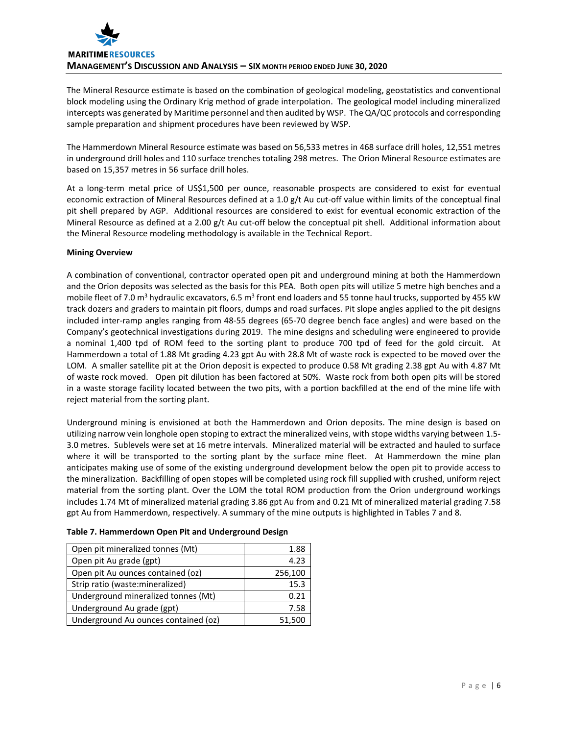

The Mineral Resource estimate is based on the combination of geological modeling, geostatistics and conventional block modeling using the Ordinary Krig method of grade interpolation. The geological model including mineralized intercepts was generated by Maritime personnel and then audited by WSP. The QA/QC protocols and corresponding sample preparation and shipment procedures have been reviewed by WSP.

The Hammerdown Mineral Resource estimate was based on 56,533 metres in 468 surface drill holes, 12,551 metres in underground drill holes and 110 surface trenches totaling 298 metres. The Orion Mineral Resource estimates are based on 15,357 metres in 56 surface drill holes.

At a long-term metal price of US\$1,500 per ounce, reasonable prospects are considered to exist for eventual economic extraction of Mineral Resources defined at a 1.0 g/t Au cut-off value within limits of the conceptual final pit shell prepared by AGP. Additional resources are considered to exist for eventual economic extraction of the Mineral Resource as defined at a 2.00 g/t Au cut-off below the conceptual pit shell. Additional information about the Mineral Resource modeling methodology is available in the Technical Report.

# **Mining Overview**

A combination of conventional, contractor operated open pit and underground mining at both the Hammerdown and the Orion deposits was selected as the basis for this PEA. Both open pits will utilize 5 metre high benches and a mobile fleet of 7.0 m<sup>3</sup> hydraulic excavators, 6.5 m<sup>3</sup> front end loaders and 55 tonne haul trucks, supported by 455 kW track dozers and graders to maintain pit floors, dumps and road surfaces. Pit slope angles applied to the pit designs included inter-ramp angles ranging from 48-55 degrees (65-70 degree bench face angles) and were based on the Company's geotechnical investigations during 2019. The mine designs and scheduling were engineered to provide a nominal 1,400 tpd of ROM feed to the sorting plant to produce 700 tpd of feed for the gold circuit. At Hammerdown a total of 1.88 Mt grading 4.23 gpt Au with 28.8 Mt of waste rock is expected to be moved over the LOM. A smaller satellite pit at the Orion deposit is expected to produce 0.58 Mt grading 2.38 gpt Au with 4.87 Mt of waste rock moved. Open pit dilution has been factored at 50%. Waste rock from both open pits will be stored in a waste storage facility located between the two pits, with a portion backfilled at the end of the mine life with reject material from the sorting plant.

Underground mining is envisioned at both the Hammerdown and Orion deposits. The mine design is based on utilizing narrow vein longhole open stoping to extract the mineralized veins, with stope widths varying between 1.5- 3.0 metres. Sublevels were set at 16 metre intervals. Mineralized material will be extracted and hauled to surface where it will be transported to the sorting plant by the surface mine fleet. At Hammerdown the mine plan anticipates making use of some of the existing underground development below the open pit to provide access to the mineralization. Backfilling of open stopes will be completed using rock fill supplied with crushed, uniform reject material from the sorting plant. Over the LOM the total ROM production from the Orion underground workings includes 1.74 Mt of mineralized material grading 3.86 gpt Au from and 0.21 Mt of mineralized material grading 7.58 gpt Au from Hammerdown, respectively. A summary of the mine outputs is highlighted in Tables 7 and 8.

| Open pit mineralized tonnes (Mt)    | 1.88    |
|-------------------------------------|---------|
| Open pit Au grade (gpt)             | 4.23    |
| Open pit Au ounces contained (oz)   | 256,100 |
| Strip ratio (waste: mineralized)    | 15.3    |
| Underground mineralized tonnes (Mt) | 0.21    |
| Underground Au grade (gpt)          | 7.58    |

Underground Au ounces contained (oz)  $\vert$  51,500

## **Table 7. Hammerdown Open Pit and Underground Design**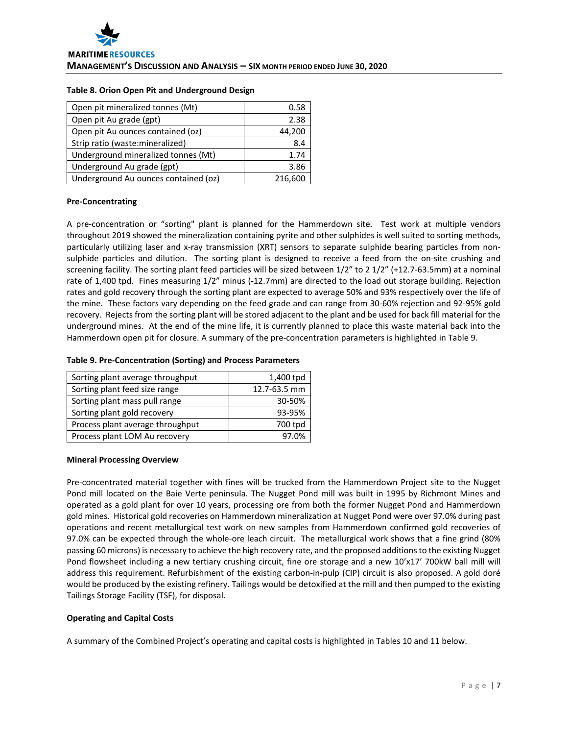#### **Table 8. Orion Open Pit and Underground Design**

| Open pit mineralized tonnes (Mt)     | 0.58    |
|--------------------------------------|---------|
| Open pit Au grade (gpt)              | 2.38    |
| Open pit Au ounces contained (oz)    | 44,200  |
| Strip ratio (waste: mineralized)     | 8.4     |
| Underground mineralized tonnes (Mt)  | 1.74    |
| Underground Au grade (gpt)           | 3.86    |
| Underground Au ounces contained (oz) | 216,600 |

## **Pre-Concentrating**

A pre-concentration or "sorting" plant is planned for the Hammerdown site. Test work at multiple vendors throughout 2019 showed the mineralization containing pyrite and other sulphides is well suited to sorting methods, particularly utilizing laser and x-ray transmission (XRT) sensors to separate sulphide bearing particles from nonsulphide particles and dilution. The sorting plant is designed to receive a feed from the on-site crushing and screening facility. The sorting plant feed particles will be sized between 1/2" to 2 1/2" (+12.7-63.5mm) at a nominal rate of 1,400 tpd. Fines measuring 1/2" minus (-12.7mm) are directed to the load out storage building. Rejection rates and gold recovery through the sorting plant are expected to average 50% and 93% respectively over the life of the mine. These factors vary depending on the feed grade and can range from 30-60% rejection and 92-95% gold recovery. Rejects from the sorting plant will be stored adjacent to the plant and be used for back fill material for the underground mines. At the end of the mine life, it is currently planned to place this waste material back into the Hammerdown open pit for closure. A summary of the pre-concentration parameters is highlighted in Table 9.

## **Table 9. Pre-Concentration (Sorting) and Process Parameters**

| Sorting plant average throughput | 1,400 tpd    |
|----------------------------------|--------------|
| Sorting plant feed size range    | 12.7-63.5 mm |
| Sorting plant mass pull range    | 30-50%       |
| Sorting plant gold recovery      | 93-95%       |
| Process plant average throughput | 700 tpd      |
| Process plant LOM Au recovery    |              |

## **Mineral Processing Overview**

Pre-concentrated material together with fines will be trucked from the Hammerdown Project site to the Nugget Pond mill located on the Baie Verte peninsula. The Nugget Pond mill was built in 1995 by Richmont Mines and operated as a gold plant for over 10 years, processing ore from both the former Nugget Pond and Hammerdown gold mines. Historical gold recoveries on Hammerdown mineralization at Nugget Pond were over 97.0% during past operations and recent metallurgical test work on new samples from Hammerdown confirmed gold recoveries of 97.0% can be expected through the whole-ore leach circuit. The metallurgical work shows that a fine grind (80% passing 60 microns) is necessary to achieve the high recovery rate, and the proposed additions to the existing Nugget Pond flowsheet including a new tertiary crushing circuit, fine ore storage and a new 10'x17' 700kW ball mill will address this requirement. Refurbishment of the existing carbon-in-pulp (CIP) circuit is also proposed. A gold doré would be produced by the existing refinery. Tailings would be detoxified at the mill and then pumped to the existing Tailings Storage Facility (TSF), for disposal.

# **Operating and Capital Costs**

A summary of the Combined Project's operating and capital costs is highlighted in Tables 10 and 11 below.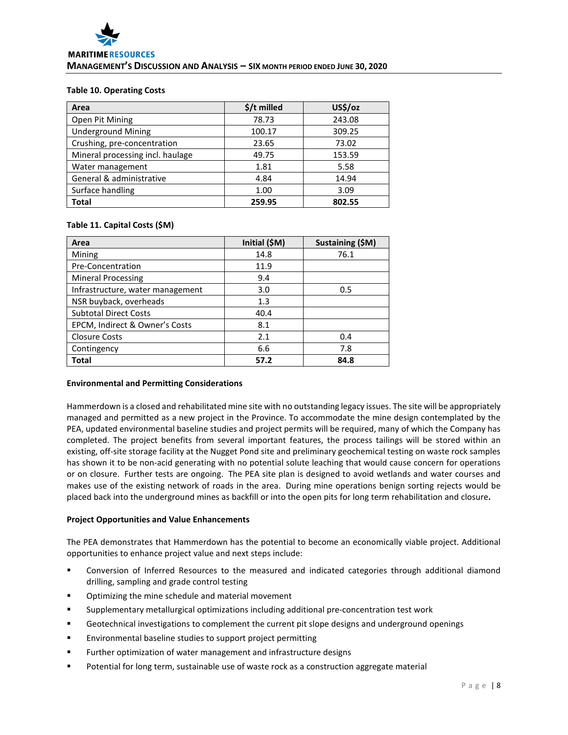#### **Table 10. Operating Costs**

| Area                             | $$/t$ milled | US\$/oz |
|----------------------------------|--------------|---------|
| Open Pit Mining                  | 78.73        | 243.08  |
| <b>Underground Mining</b>        | 100.17       | 309.25  |
| Crushing, pre-concentration      | 23.65        | 73.02   |
| Mineral processing incl. haulage | 49.75        | 153.59  |
| Water management                 | 1.81         | 5.58    |
| General & administrative         | 4.84         | 14.94   |
| Surface handling                 | 1.00         | 3.09    |
| Total                            | 259.95       | 802.55  |

## **Table 11. Capital Costs (\$M)**

| Area                             | Initial (\$M) | Sustaining (\$M) |
|----------------------------------|---------------|------------------|
| Mining                           | 14.8          | 76.1             |
| Pre-Concentration                | 11.9          |                  |
| <b>Mineral Processing</b>        | 9.4           |                  |
| Infrastructure, water management | 3.0           | 0.5              |
| NSR buyback, overheads           | 1.3           |                  |
| <b>Subtotal Direct Costs</b>     | 40.4          |                  |
| EPCM, Indirect & Owner's Costs   | 8.1           |                  |
| <b>Closure Costs</b>             | 2.1           | 0.4              |
| Contingency                      | 6.6           | 7.8              |
| Total                            | 57.2          | 84.8             |

## **Environmental and Permitting Considerations**

Hammerdown is a closed and rehabilitated mine site with no outstanding legacy issues. The site will be appropriately managed and permitted as a new project in the Province. To accommodate the mine design contemplated by the PEA, updated environmental baseline studies and project permits will be required, many of which the Company has completed. The project benefits from several important features, the process tailings will be stored within an existing, off-site storage facility at the Nugget Pond site and preliminary geochemical testing on waste rock samples has shown it to be non-acid generating with no potential solute leaching that would cause concern for operations or on closure. Further tests are ongoing. The PEA site plan is designed to avoid wetlands and water courses and makes use of the existing network of roads in the area. During mine operations benign sorting rejects would be placed back into the underground mines as backfill or into the open pits for long term rehabilitation and closure**.** 

# **Project Opportunities and Value Enhancements**

The PEA demonstrates that Hammerdown has the potential to become an economically viable project. Additional opportunities to enhance project value and next steps include:

- Conversion of Inferred Resources to the measured and indicated categories through additional diamond drilling, sampling and grade control testing
- **•** Optimizing the mine schedule and material movement
- Supplementary metallurgical optimizations including additional pre-concentration test work
- Geotechnical investigations to complement the current pit slope designs and underground openings
- Environmental baseline studies to support project permitting
- Further optimization of water management and infrastructure designs
- Potential for long term, sustainable use of waste rock as a construction aggregate material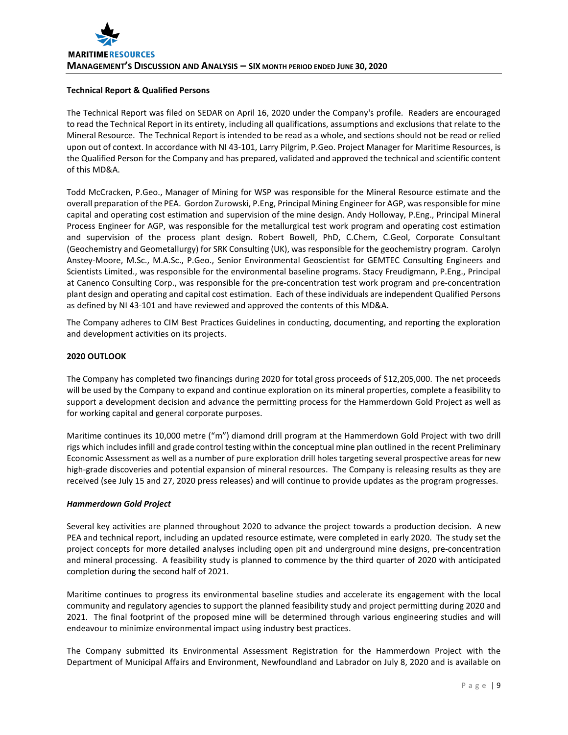# **Technical Report & Qualified Persons**

The Technical Report was filed on SEDAR on April 16, 2020 under the Company's profile. Readers are encouraged to read the Technical Report in its entirety, including all qualifications, assumptions and exclusions that relate to the Mineral Resource. The Technical Report is intended to be read as a whole, and sections should not be read or relied upon out of context. In accordance with NI 43-101, Larry Pilgrim, P.Geo. Project Manager for Maritime Resources, is the Qualified Person for the Company and has prepared, validated and approved the technical and scientific content of this MD&A.

Todd McCracken, P.Geo., Manager of Mining for WSP was responsible for the Mineral Resource estimate and the overall preparation of the PEA. Gordon Zurowski, P.Eng, Principal Mining Engineer for AGP, wasresponsible for mine capital and operating cost estimation and supervision of the mine design. Andy Holloway, P.Eng., Principal Mineral Process Engineer for AGP, was responsible for the metallurgical test work program and operating cost estimation and supervision of the process plant design. Robert Bowell, PhD, C.Chem, C.Geol, Corporate Consultant (Geochemistry and Geometallurgy) for SRK Consulting (UK), was responsible for the geochemistry program. Carolyn Anstey-Moore, M.Sc., M.A.Sc., P.Geo., Senior Environmental Geoscientist for GEMTEC Consulting Engineers and Scientists Limited., was responsible for the environmental baseline programs. Stacy Freudigmann, P.Eng., Principal at Canenco Consulting Corp., was responsible for the pre-concentration test work program and pre-concentration plant design and operating and capital cost estimation. Each of these individuals are independent Qualified Persons as defined by NI 43-101 and have reviewed and approved the contents of this MD&A.

The Company adheres to CIM Best Practices Guidelines in conducting, documenting, and reporting the exploration and development activities on its projects.

# **2020 OUTLOOK**

The Company has completed two financings during 2020 for total gross proceeds of \$12,205,000. The net proceeds will be used by the Company to expand and continue exploration on its mineral properties, complete a feasibility to support a development decision and advance the permitting process for the Hammerdown Gold Project as well as for working capital and general corporate purposes.

Maritime continues its 10,000 metre ("m") diamond drill program at the Hammerdown Gold Project with two drill rigs which includes infill and grade control testing within the conceptual mine plan outlined in the recent Preliminary Economic Assessment as well as a number of pure exploration drill holes targeting several prospective areas for new high-grade discoveries and potential expansion of mineral resources. The Company is releasing results as they are received (see July 15 and 27, 2020 press releases) and will continue to provide updates as the program progresses.

## *Hammerdown Gold Project*

Several key activities are planned throughout 2020 to advance the project towards a production decision. A new PEA and technical report, including an updated resource estimate, were completed in early 2020. The study set the project concepts for more detailed analyses including open pit and underground mine designs, pre-concentration and mineral processing. A feasibility study is planned to commence by the third quarter of 2020 with anticipated completion during the second half of 2021.

Maritime continues to progress its environmental baseline studies and accelerate its engagement with the local community and regulatory agencies to support the planned feasibility study and project permitting during 2020 and 2021. The final footprint of the proposed mine will be determined through various engineering studies and will endeavour to minimize environmental impact using industry best practices.

The Company submitted its Environmental Assessment Registration for the Hammerdown Project with the Department of Municipal Affairs and Environment, Newfoundland and Labrador on July 8, 2020 and is available on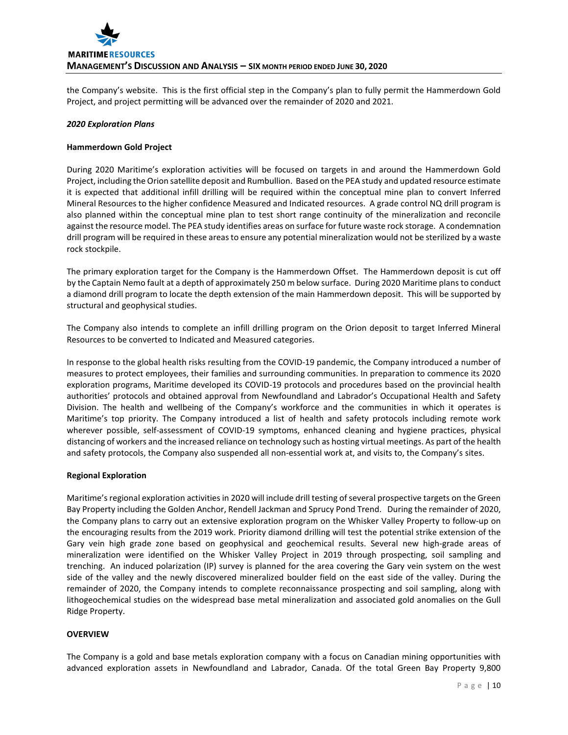

the Company's website. This is the first official step in the Company's plan to fully permit the Hammerdown Gold Project, and project permitting will be advanced over the remainder of 2020 and 2021.

#### *2020 Exploration Plans*

#### **Hammerdown Gold Project**

During 2020 Maritime's exploration activities will be focused on targets in and around the Hammerdown Gold Project, including the Orion satellite deposit and Rumbullion. Based on the PEA study and updated resource estimate it is expected that additional infill drilling will be required within the conceptual mine plan to convert Inferred Mineral Resources to the higher confidence Measured and Indicated resources. A grade control NQ drill program is also planned within the conceptual mine plan to test short range continuity of the mineralization and reconcile against the resource model. The PEA study identifies areas on surface for future waste rock storage. A condemnation drill program will be required in these areas to ensure any potential mineralization would not be sterilized by a waste rock stockpile.

The primary exploration target for the Company is the Hammerdown Offset. The Hammerdown deposit is cut off by the Captain Nemo fault at a depth of approximately 250 m below surface. During 2020 Maritime plans to conduct a diamond drill program to locate the depth extension of the main Hammerdown deposit. This will be supported by structural and geophysical studies.

The Company also intends to complete an infill drilling program on the Orion deposit to target Inferred Mineral Resources to be converted to Indicated and Measured categories.

In response to the global health risks resulting from the COVID-19 pandemic, the Company introduced a number of measures to protect employees, their families and surrounding communities. In preparation to commence its 2020 exploration programs, Maritime developed its COVID-19 protocols and procedures based on the provincial health authorities' protocols and obtained approval from Newfoundland and Labrador's Occupational Health and Safety Division. The health and wellbeing of the Company's workforce and the communities in which it operates is Maritime's top priority. The Company introduced a list of health and safety protocols including remote work wherever possible, self-assessment of COVID-19 symptoms, enhanced cleaning and hygiene practices, physical distancing of workers and the increased reliance on technology such as hosting virtual meetings. As part of the health and safety protocols, the Company also suspended all non-essential work at, and visits to, the Company's sites.

## **Regional Exploration**

Maritime's regional exploration activities in 2020 will include drill testing of several prospective targets on the Green Bay Property including the Golden Anchor, Rendell Jackman and Sprucy Pond Trend. During the remainder of 2020, the Company plans to carry out an extensive exploration program on the Whisker Valley Property to follow-up on the encouraging results from the 2019 work. Priority diamond drilling will test the potential strike extension of the Gary vein high grade zone based on geophysical and geochemical results. Several new high-grade areas of mineralization were identified on the Whisker Valley Project in 2019 through prospecting, soil sampling and trenching. An induced polarization (IP) survey is planned for the area covering the Gary vein system on the west side of the valley and the newly discovered mineralized boulder field on the east side of the valley. During the remainder of 2020, the Company intends to complete reconnaissance prospecting and soil sampling, along with lithogeochemical studies on the widespread base metal mineralization and associated gold anomalies on the Gull Ridge Property.

## **OVERVIEW**

The Company is a gold and base metals exploration company with a focus on Canadian mining opportunities with advanced exploration assets in Newfoundland and Labrador, Canada. Of the total Green Bay Property 9,800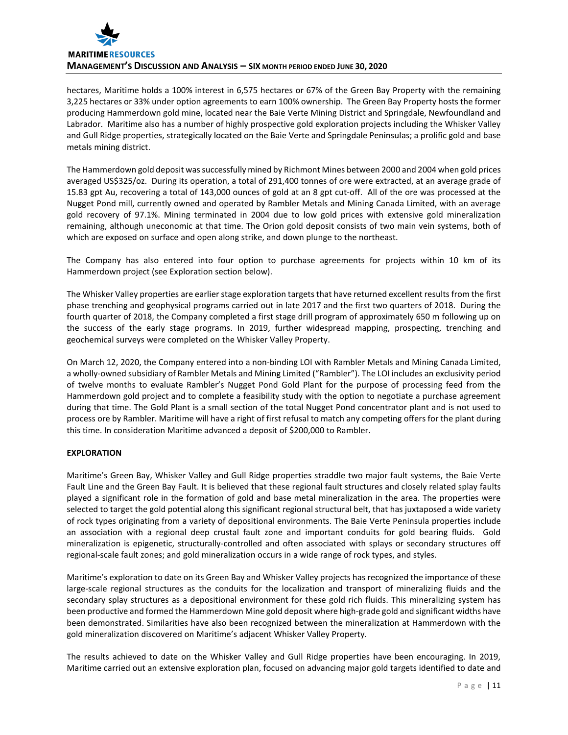

hectares, Maritime holds a 100% interest in 6,575 hectares or 67% of the Green Bay Property with the remaining 3,225 hectares or 33% under option agreements to earn 100% ownership. The Green Bay Property hosts the former producing Hammerdown gold mine, located near the Baie Verte Mining District and Springdale, Newfoundland and Labrador. Maritime also has a number of highly prospective gold exploration projects including the Whisker Valley and Gull Ridge properties, strategically located on the Baie Verte and Springdale Peninsulas; a prolific gold and base metals mining district.

The Hammerdown gold deposit was successfully mined by Richmont Mines between 2000 and 2004 when gold prices averaged US\$325/oz. During its operation, a total of 291,400 tonnes of ore were extracted, at an average grade of 15.83 gpt Au, recovering a total of 143,000 ounces of gold at an 8 gpt cut-off. All of the ore was processed at the Nugget Pond mill, currently owned and operated by Rambler Metals and Mining Canada Limited, with an average gold recovery of 97.1%. Mining terminated in 2004 due to low gold prices with extensive gold mineralization remaining, although uneconomic at that time. The Orion gold deposit consists of two main vein systems, both of which are exposed on surface and open along strike, and down plunge to the northeast.

The Company has also entered into four option to purchase agreements for projects within 10 km of its Hammerdown project (see Exploration section below).

The Whisker Valley properties are earlier stage exploration targets that have returned excellent results from the first phase trenching and geophysical programs carried out in late 2017 and the first two quarters of 2018. During the fourth quarter of 2018, the Company completed a first stage drill program of approximately 650 m following up on the success of the early stage programs. In 2019, further widespread mapping, prospecting, trenching and geochemical surveys were completed on the Whisker Valley Property.

On March 12, 2020, the Company entered into a non-binding LOI with Rambler Metals and Mining Canada Limited, a wholly-owned subsidiary of Rambler Metals and Mining Limited ("Rambler"). The LOI includes an exclusivity period of twelve months to evaluate Rambler's Nugget Pond Gold Plant for the purpose of processing feed from the Hammerdown gold project and to complete a feasibility study with the option to negotiate a purchase agreement during that time. The Gold Plant is a small section of the total Nugget Pond concentrator plant and is not used to process ore by Rambler. Maritime will have a right of first refusal to match any competing offers for the plant during this time. In consideration Maritime advanced a deposit of \$200,000 to Rambler.

# **EXPLORATION**

Maritime's Green Bay, Whisker Valley and Gull Ridge properties straddle two major fault systems, the Baie Verte Fault Line and the Green Bay Fault. It is believed that these regional fault structures and closely related splay faults played a significant role in the formation of gold and base metal mineralization in the area. The properties were selected to target the gold potential along this significant regional structural belt, that has juxtaposed a wide variety of rock types originating from a variety of depositional environments. The Baie Verte Peninsula properties include an association with a regional deep crustal fault zone and important conduits for gold bearing fluids. Gold mineralization is epigenetic, structurally-controlled and often associated with splays or secondary structures off regional-scale fault zones; and gold mineralization occurs in a wide range of rock types, and styles.

Maritime's exploration to date on its Green Bay and Whisker Valley projects has recognized the importance of these large-scale regional structures as the conduits for the localization and transport of mineralizing fluids and the secondary splay structures as a depositional environment for these gold rich fluids. This mineralizing system has been productive and formed the Hammerdown Mine gold deposit where high-grade gold and significant widths have been demonstrated. Similarities have also been recognized between the mineralization at Hammerdown with the gold mineralization discovered on Maritime's adjacent Whisker Valley Property.

The results achieved to date on the Whisker Valley and Gull Ridge properties have been encouraging. In 2019, Maritime carried out an extensive exploration plan, focused on advancing major gold targets identified to date and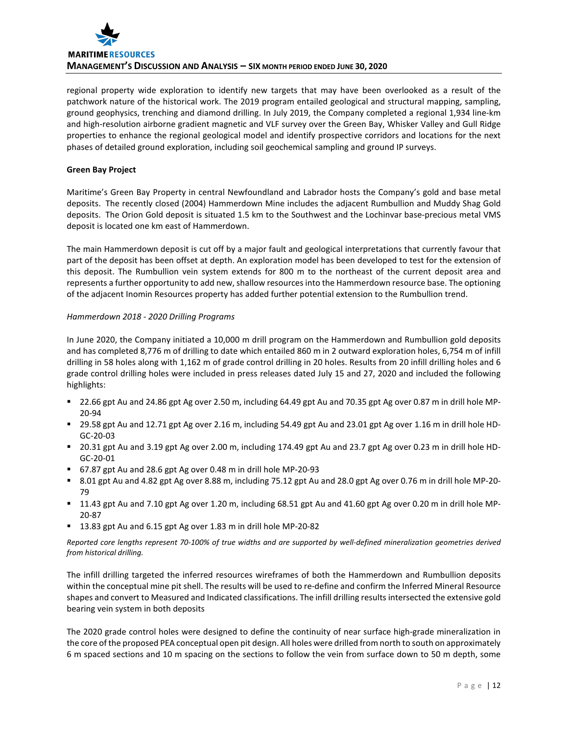

regional property wide exploration to identify new targets that may have been overlooked as a result of the patchwork nature of the historical work. The 2019 program entailed geological and structural mapping, sampling, ground geophysics, trenching and diamond drilling. In July 2019, the Company completed a regional 1,934 line-km and high-resolution airborne gradient magnetic and VLF survey over the Green Bay, Whisker Valley and Gull Ridge properties to enhance the regional geological model and identify prospective corridors and locations for the next phases of detailed ground exploration, including soil geochemical sampling and ground IP surveys.

## **Green Bay Project**

Maritime's Green Bay Property in central Newfoundland and Labrador hosts the Company's gold and base metal deposits. The recently closed (2004) Hammerdown Mine includes the adjacent Rumbullion and Muddy Shag Gold deposits. The Orion Gold deposit is situated 1.5 km to the Southwest and the Lochinvar base-precious metal VMS deposit is located one km east of Hammerdown.

The main Hammerdown deposit is cut off by a major fault and geological interpretations that currently favour that part of the deposit has been offset at depth. An exploration model has been developed to test for the extension of this deposit. The Rumbullion vein system extends for 800 m to the northeast of the current deposit area and represents a further opportunity to add new, shallow resources into the Hammerdown resource base. The optioning of the adjacent Inomin Resources property has added further potential extension to the Rumbullion trend.

## *Hammerdown 2018 - 2020 Drilling Programs*

In June 2020, the Company initiated a 10,000 m drill program on the Hammerdown and Rumbullion gold deposits and has completed 8,776 m of drilling to date which entailed 860 m in 2 outward exploration holes, 6,754 m of infill drilling in 58 holes along with 1,162 m of grade control drilling in 20 holes. Results from 20 infill drilling holes and 6 grade control drilling holes were included in press releases dated July 15 and 27, 2020 and included the following highlights:

- 22.66 gpt Au and 24.86 gpt Ag over 2.50 m, including 64.49 gpt Au and 70.35 gpt Ag over 0.87 m in drill hole MP-20-94
- 29.58 gpt Au and 12.71 gpt Ag over 2.16 m, including 54.49 gpt Au and 23.01 gpt Ag over 1.16 m in drill hole HD-GC-20-03
- 20.31 gpt Au and 3.19 gpt Ag over 2.00 m, including 174.49 gpt Au and 23.7 gpt Ag over 0.23 m in drill hole HD-GC-20-01
- 67.87 gpt Au and 28.6 gpt Ag over 0.48 m in drill hole MP-20-93
- 8.01 gpt Au and 4.82 gpt Ag over 8.88 m, including 75.12 gpt Au and 28.0 gpt Ag over 0.76 m in drill hole MP-20- 79
- 11.43 gpt Au and 7.10 gpt Ag over 1.20 m, including 68.51 gpt Au and 41.60 gpt Ag over 0.20 m in drill hole MP-20-87
- 13.83 gpt Au and 6.15 gpt Ag over 1.83 m in drill hole MP-20-82

*Reported core lengths represent 70-100% of true widths and are supported by well-defined mineralization geometries derived from historical drilling.*

The infill drilling targeted the inferred resources wireframes of both the Hammerdown and Rumbullion deposits within the conceptual mine pit shell. The results will be used to re-define and confirm the Inferred Mineral Resource shapes and convert to Measured and Indicated classifications. The infill drilling results intersected the extensive gold bearing vein system in both deposits

The 2020 grade control holes were designed to define the continuity of near surface high-grade mineralization in the core of the proposed PEA conceptual open pit design. All holes were drilled from north to south on approximately 6 m spaced sections and 10 m spacing on the sections to follow the vein from surface down to 50 m depth, some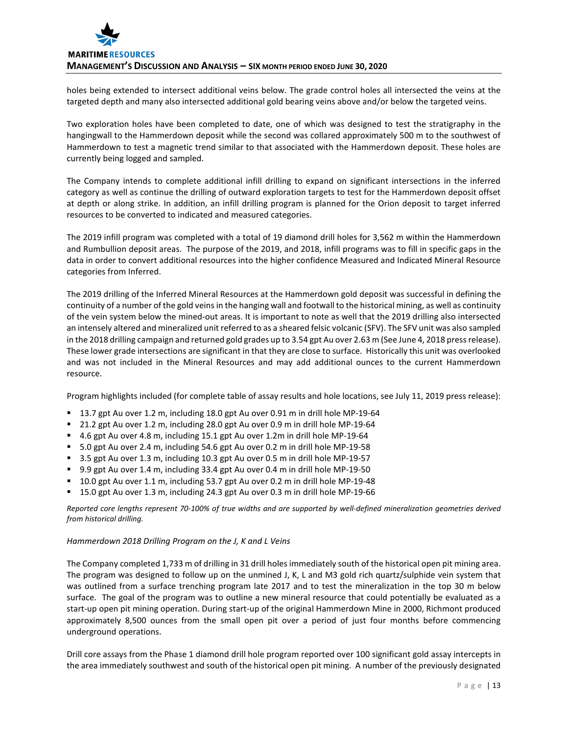holes being extended to intersect additional veins below. The grade control holes all intersected the veins at the targeted depth and many also intersected additional gold bearing veins above and/or below the targeted veins.

Two exploration holes have been completed to date, one of which was designed to test the stratigraphy in the hangingwall to the Hammerdown deposit while the second was collared approximately 500 m to the southwest of Hammerdown to test a magnetic trend similar to that associated with the Hammerdown deposit. These holes are currently being logged and sampled.

The Company intends to complete additional infill drilling to expand on significant intersections in the inferred category as well as continue the drilling of outward exploration targets to test for the Hammerdown deposit offset at depth or along strike. In addition, an infill drilling program is planned for the Orion deposit to target inferred resources to be converted to indicated and measured categories.

The 2019 infill program was completed with a total of 19 diamond drill holes for 3,562 m within the Hammerdown and Rumbullion deposit areas. The purpose of the 2019, and 2018, infill programs was to fill in specific gaps in the data in order to convert additional resources into the higher confidence Measured and Indicated Mineral Resource categories from Inferred.

The 2019 drilling of the Inferred Mineral Resources at the Hammerdown gold deposit was successful in defining the continuity of a number of the gold veins in the hanging wall and footwall to the historical mining, as well as continuity of the vein system below the mined-out areas. It is important to note as well that the 2019 drilling also intersected an intensely altered and mineralized unit referred to as a sheared felsic volcanic (SFV). The SFV unit was also sampled in the 2018 drilling campaign and returned gold grades up to 3.54 gpt Au over 2.63 m (See June 4, 2018 press release). These lower grade intersections are significant in that they are close to surface. Historically this unit was overlooked and was not included in the Mineral Resources and may add additional ounces to the current Hammerdown resource.

Program highlights included (for complete table of assay results and hole locations, see July 11, 2019 press release):

- 13.7 gpt Au over 1.2 m, including 18.0 gpt Au over 0.91 m in drill hole MP-19-64
- 21.2 gpt Au over 1.2 m, including 28.0 gpt Au over 0.9 m in drill hole MP-19-64
- 4.6 gpt Au over 4.8 m, including 15.1 gpt Au over 1.2m in drill hole MP-19-64
- 5.0 gpt Au over 2.4 m, including 54.6 gpt Au over 0.2 m in drill hole MP-19-58
- 3.5 gpt Au over 1.3 m, including 10.3 gpt Au over 0.5 m in drill hole MP-19-57
- 9.9 gpt Au over 1.4 m, including 33.4 gpt Au over 0.4 m in drill hole MP-19-50
- 10.0 gpt Au over 1.1 m, including 53.7 gpt Au over 0.2 m in drill hole MP-19-48
- 15.0 gpt Au over 1.3 m, including 24.3 gpt Au over 0.3 m in drill hole MP-19-66

*Reported core lengths represent 70-100% of true widths and are supported by well-defined mineralization geometries derived from historical drilling.*

# *Hammerdown 2018 Drilling Program on the J, K and L Veins*

The Company completed 1,733 m of drilling in 31 drill holes immediately south of the historical open pit mining area. The program was designed to follow up on the unmined J, K, L and M3 gold rich quartz/sulphide vein system that was outlined from a surface trenching program late 2017 and to test the mineralization in the top 30 m below surface. The goal of the program was to outline a new mineral resource that could potentially be evaluated as a start-up open pit mining operation. During start-up of the original Hammerdown Mine in 2000, Richmont produced approximately 8,500 ounces from the small open pit over a period of just four months before commencing underground operations.

Drill core assays from the Phase 1 diamond drill hole program reported over 100 significant gold assay intercepts in the area immediately southwest and south of the historical open pit mining. A number of the previously designated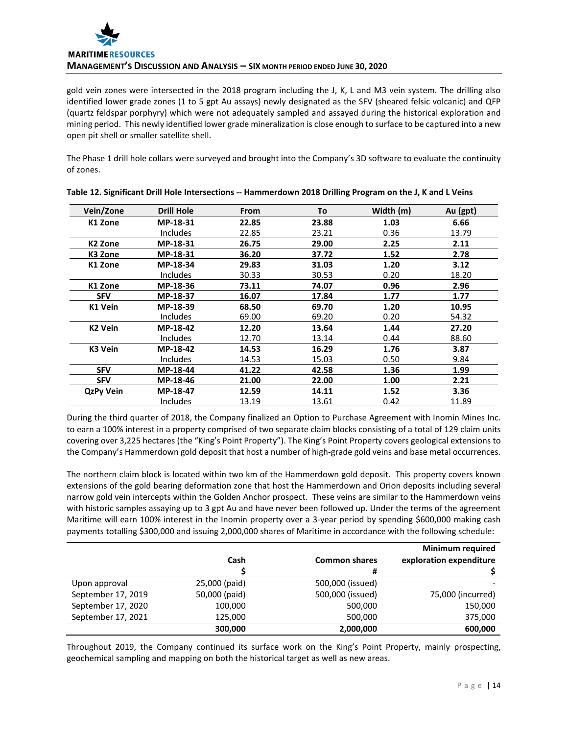

gold vein zones were intersected in the 2018 program including the J, K, L and M3 vein system. The drilling also identified lower grade zones (1 to 5 gpt Au assays) newly designated as the SFV (sheared felsic volcanic) and QFP (quartz feldspar porphyry) which were not adequately sampled and assayed during the historical exploration and mining period. This newly identified lower grade mineralization is close enough to surface to be captured into a new open pit shell or smaller satellite shell.

The Phase 1 drill hole collars were surveyed and brought into the Company's 3D software to evaluate the continuity of zones.

| Vein/Zone        | <b>Drill Hole</b> | <b>From</b> | To    | Width (m) | Au (gpt) |
|------------------|-------------------|-------------|-------|-----------|----------|
| K1 Zone          | MP-18-31          | 22.85       | 23.88 | 1.03      | 6.66     |
|                  | <b>Includes</b>   | 22.85       | 23.21 | 0.36      | 13.79    |
| K2 Zone          | MP-18-31          | 26.75       | 29.00 | 2.25      | 2.11     |
| K3 Zone          | MP-18-31          | 36.20       | 37.72 | 1.52      | 2.78     |
| K1 Zone          | MP-18-34          | 29.83       | 31.03 | 1.20      | 3.12     |
|                  | <b>Includes</b>   | 30.33       | 30.53 | 0.20      | 18.20    |
| K1 Zone          | MP-18-36          | 73.11       | 74.07 | 0.96      | 2.96     |
| <b>SFV</b>       | MP-18-37          | 16.07       | 17.84 | 1.77      | 1.77     |
| K1 Vein          | MP-18-39          | 68.50       | 69.70 | 1.20      | 10.95    |
|                  | <b>Includes</b>   | 69.00       | 69.20 | 0.20      | 54.32    |
| <b>K2 Vein</b>   | MP-18-42          | 12.20       | 13.64 | 1.44      | 27.20    |
|                  | <b>Includes</b>   | 12.70       | 13.14 | 0.44      | 88.60    |
| K3 Vein          | MP-18-42          | 14.53       | 16.29 | 1.76      | 3.87     |
|                  | <b>Includes</b>   | 14.53       | 15.03 | 0.50      | 9.84     |
| <b>SFV</b>       | MP-18-44          | 41.22       | 42.58 | 1.36      | 1.99     |
| <b>SFV</b>       | MP-18-46          | 21.00       | 22.00 | 1.00      | 2.21     |
| <b>QzPy Vein</b> | MP-18-47          | 12.59       | 14.11 | 1.52      | 3.36     |
|                  | <b>Includes</b>   | 13.19       | 13.61 | 0.42      | 11.89    |

During the third quarter of 2018, the Company finalized an Option to Purchase Agreement with Inomin Mines Inc. to earn a 100% interest in a property comprised of two separate claim blocks consisting of a total of 129 claim units covering over 3,225 hectares (the "King's Point Property"). The King's Point Property covers geological extensions to the Company's Hammerdown gold deposit that host a number of high-grade gold veins and base metal occurrences.

The northern claim block is located within two km of the Hammerdown gold deposit. This property covers known extensions of the gold bearing deformation zone that host the Hammerdown and Orion deposits including several narrow gold vein intercepts within the Golden Anchor prospect. These veins are similar to the Hammerdown veins with historic samples assaying up to 3 gpt Au and have never been followed up. Under the terms of the agreement Maritime will earn 100% interest in the Inomin property over a 3-year period by spending \$600,000 making cash payments totalling \$300,000 and issuing 2,000,000 shares of Maritime in accordance with the following schedule:

|                    |               |                      | <b>Minimum required</b> |
|--------------------|---------------|----------------------|-------------------------|
|                    | Cash          | <b>Common shares</b> | exploration expenditure |
|                    |               | #                    |                         |
| Upon approval      | 25,000 (paid) | 500,000 (issued)     |                         |
| September 17, 2019 | 50,000 (paid) | 500,000 (issued)     | 75,000 (incurred)       |
| September 17, 2020 | 100,000       | 500,000              | 150,000                 |
| September 17, 2021 | 125,000       | 500,000              | 375,000                 |
|                    | 300,000       | 2,000,000            | 600,000                 |

Throughout 2019, the Company continued its surface work on the King's Point Property, mainly prospecting, geochemical sampling and mapping on both the historical target as well as new areas.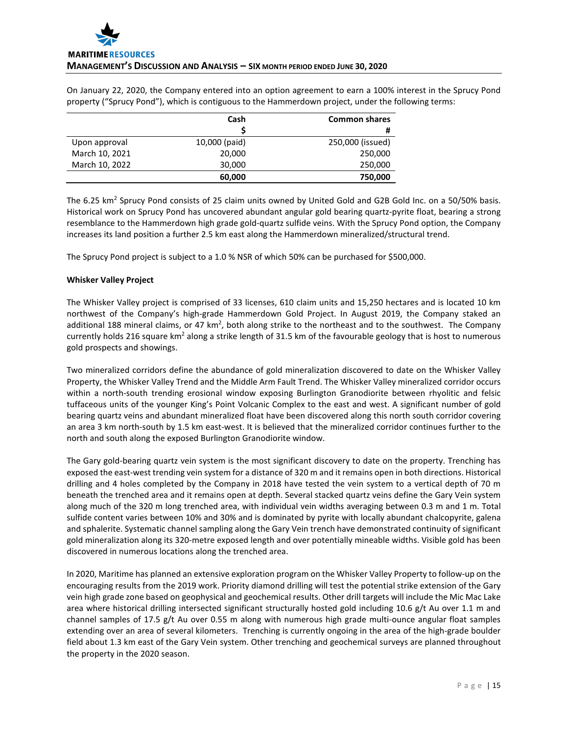On January 22, 2020, the Company entered into an option agreement to earn a 100% interest in the Sprucy Pond property ("Sprucy Pond"), which is contiguous to the Hammerdown project, under the following terms:

|                | Cash          | <b>Common shares</b> |
|----------------|---------------|----------------------|
|                |               | #                    |
| Upon approval  | 10,000 (paid) | 250,000 (issued)     |
| March 10, 2021 | 20,000        | 250,000              |
| March 10, 2022 | 30,000        | 250,000              |
|                | 60,000        | 750,000              |

The 6.25 km<sup>2</sup> Sprucy Pond consists of 25 claim units owned by United Gold and G2B Gold Inc. on a 50/50% basis. Historical work on Sprucy Pond has uncovered abundant angular gold bearing quartz-pyrite float, bearing a strong resemblance to the Hammerdown high grade gold-quartz sulfide veins. With the Sprucy Pond option, the Company increases its land position a further 2.5 km east along the Hammerdown mineralized/structural trend.

The Sprucy Pond project is subject to a 1.0 % NSR of which 50% can be purchased for \$500,000.

# **Whisker Valley Project**

The Whisker Valley project is comprised of 33 licenses, 610 claim units and 15,250 hectares and is located 10 km northwest of the Company's high-grade Hammerdown Gold Project. In August 2019, the Company staked an additional 188 mineral claims, or 47 km<sup>2</sup>, both along strike to the northeast and to the southwest. The Company currently holds 216 square km<sup>2</sup> along a strike length of 31.5 km of the favourable geology that is host to numerous gold prospects and showings.

Two mineralized corridors define the abundance of gold mineralization discovered to date on the Whisker Valley Property, the Whisker Valley Trend and the Middle Arm Fault Trend. The Whisker Valley mineralized corridor occurs within a north-south trending erosional window exposing Burlington Granodiorite between rhyolitic and felsic tuffaceous units of the younger King's Point Volcanic Complex to the east and west. A significant number of gold bearing quartz veins and abundant mineralized float have been discovered along this north south corridor covering an area 3 km north-south by 1.5 km east-west. It is believed that the mineralized corridor continues further to the north and south along the exposed Burlington Granodiorite window.

The Gary gold-bearing quartz vein system is the most significant discovery to date on the property. Trenching has exposed the east-west trending vein system for a distance of 320 m and it remains open in both directions. Historical drilling and 4 holes completed by the Company in 2018 have tested the vein system to a vertical depth of 70 m beneath the trenched area and it remains open at depth. Several stacked quartz veins define the Gary Vein system along much of the 320 m long trenched area, with individual vein widths averaging between 0.3 m and 1 m. Total sulfide content varies between 10% and 30% and is dominated by pyrite with locally abundant chalcopyrite, galena and sphalerite. Systematic channel sampling along the Gary Vein trench have demonstrated continuity of significant gold mineralization along its 320-metre exposed length and over potentially mineable widths. Visible gold has been discovered in numerous locations along the trenched area.

In 2020, Maritime has planned an extensive exploration program on the Whisker Valley Property to follow-up on the encouraging results from the 2019 work. Priority diamond drilling will test the potential strike extension of the Gary vein high grade zone based on geophysical and geochemical results. Other drill targets will include the Mic Mac Lake area where historical drilling intersected significant structurally hosted gold including 10.6 g/t Au over 1.1 m and channel samples of 17.5 g/t Au over 0.55 m along with numerous high grade multi-ounce angular float samples extending over an area of several kilometers. Trenching is currently ongoing in the area of the high-grade boulder field about 1.3 km east of the Gary Vein system. Other trenching and geochemical surveys are planned throughout the property in the 2020 season.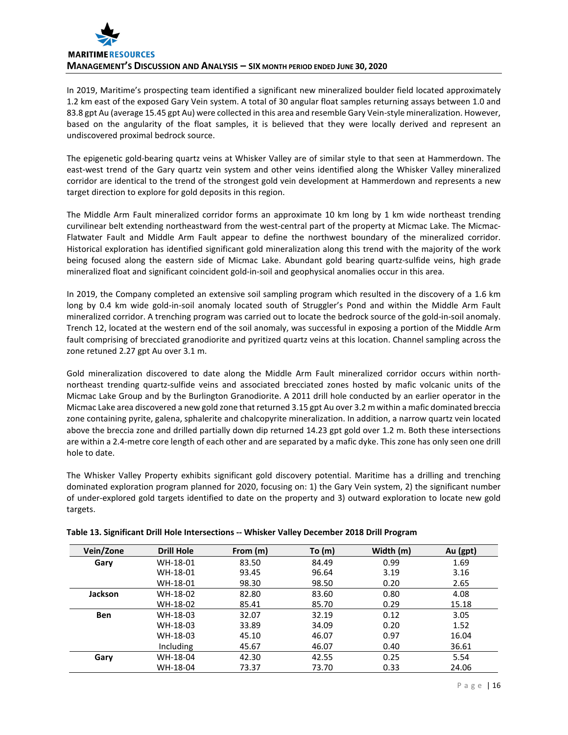

In 2019, Maritime's prospecting team identified a significant new mineralized boulder field located approximately 1.2 km east of the exposed Gary Vein system. A total of 30 angular float samples returning assays between 1.0 and 83.8 gpt Au (average 15.45 gpt Au) were collected in this area and resemble Gary Vein-style mineralization. However, based on the angularity of the float samples, it is believed that they were locally derived and represent an undiscovered proximal bedrock source.

The epigenetic gold-bearing quartz veins at Whisker Valley are of similar style to that seen at Hammerdown. The east-west trend of the Gary quartz vein system and other veins identified along the Whisker Valley mineralized corridor are identical to the trend of the strongest gold vein development at Hammerdown and represents a new target direction to explore for gold deposits in this region.

The Middle Arm Fault mineralized corridor forms an approximate 10 km long by 1 km wide northeast trending curvilinear belt extending northeastward from the west-central part of the property at Micmac Lake. The Micmac-Flatwater Fault and Middle Arm Fault appear to define the northwest boundary of the mineralized corridor. Historical exploration has identified significant gold mineralization along this trend with the majority of the work being focused along the eastern side of Micmac Lake. Abundant gold bearing quartz-sulfide veins, high grade mineralized float and significant coincident gold-in-soil and geophysical anomalies occur in this area.

In 2019, the Company completed an extensive soil sampling program which resulted in the discovery of a 1.6 km long by 0.4 km wide gold-in-soil anomaly located south of Struggler's Pond and within the Middle Arm Fault mineralized corridor. A trenching program was carried out to locate the bedrock source of the gold-in-soil anomaly. Trench 12, located at the western end of the soil anomaly, was successful in exposing a portion of the Middle Arm fault comprising of brecciated granodiorite and pyritized quartz veins at this location. Channel sampling across the zone retuned 2.27 gpt Au over 3.1 m.

Gold mineralization discovered to date along the Middle Arm Fault mineralized corridor occurs within northnortheast trending quartz-sulfide veins and associated brecciated zones hosted by mafic volcanic units of the Micmac Lake Group and by the Burlington Granodiorite. A 2011 drill hole conducted by an earlier operator in the Micmac Lake area discovered a new gold zone that returned 3.15 gpt Au over 3.2 m within a mafic dominated breccia zone containing pyrite, galena, sphalerite and chalcopyrite mineralization. In addition, a narrow quartz vein located above the breccia zone and drilled partially down dip returned 14.23 gpt gold over 1.2 m. Both these intersections are within a 2.4-metre core length of each other and are separated by a mafic dyke. This zone has only seen one drill hole to date.

The Whisker Valley Property exhibits significant gold discovery potential. Maritime has a drilling and trenching dominated exploration program planned for 2020, focusing on: 1) the Gary Vein system, 2) the significant number of under-explored gold targets identified to date on the property and 3) outward exploration to locate new gold targets.

| Vein/Zone      | <b>Drill Hole</b> | From (m) | To $(m)$ | Width (m) | Au (gpt) |
|----------------|-------------------|----------|----------|-----------|----------|
| Gary           | WH-18-01          | 83.50    | 84.49    | 0.99      | 1.69     |
|                | WH-18-01          | 93.45    | 96.64    | 3.19      | 3.16     |
|                | WH-18-01          | 98.30    | 98.50    | 0.20      | 2.65     |
| <b>Jackson</b> | WH-18-02          | 82.80    | 83.60    | 0.80      | 4.08     |
|                | WH-18-02          | 85.41    | 85.70    | 0.29      | 15.18    |
| <b>Ben</b>     | WH-18-03          | 32.07    | 32.19    | 0.12      | 3.05     |
|                | WH-18-03          | 33.89    | 34.09    | 0.20      | 1.52     |
|                | WH-18-03          | 45.10    | 46.07    | 0.97      | 16.04    |
|                | Including         | 45.67    | 46.07    | 0.40      | 36.61    |
| Gary           | WH-18-04          | 42.30    | 42.55    | 0.25      | 5.54     |
|                | WH-18-04          | 73.37    | 73.70    | 0.33      | 24.06    |

## **Table 13. Significant Drill Hole Intersections -- Whisker Valley December 2018 Drill Program**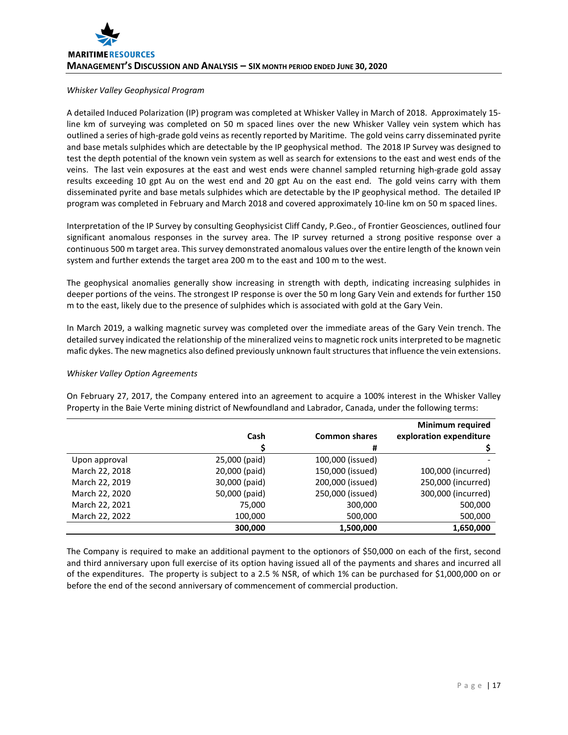#### *Whisker Valley Geophysical Program*

A detailed Induced Polarization (IP) program was completed at Whisker Valley in March of 2018. Approximately 15 line km of surveying was completed on 50 m spaced lines over the new Whisker Valley vein system which has outlined a series of high-grade gold veins as recently reported by Maritime. The gold veins carry disseminated pyrite and base metals sulphides which are detectable by the IP geophysical method. The 2018 IP Survey was designed to test the depth potential of the known vein system as well as search for extensions to the east and west ends of the veins. The last vein exposures at the east and west ends were channel sampled returning high-grade gold assay results exceeding 10 gpt Au on the west end and 20 gpt Au on the east end. The gold veins carry with them disseminated pyrite and base metals sulphides which are detectable by the IP geophysical method. The detailed IP program was completed in February and March 2018 and covered approximately 10-line km on 50 m spaced lines.

Interpretation of the IP Survey by consulting Geophysicist Cliff Candy, P.Geo., of Frontier Geosciences, outlined four significant anomalous responses in the survey area. The IP survey returned a strong positive response over a continuous 500 m target area. This survey demonstrated anomalous values over the entire length of the known vein system and further extends the target area 200 m to the east and 100 m to the west.

The geophysical anomalies generally show increasing in strength with depth, indicating increasing sulphides in deeper portions of the veins. The strongest IP response is over the 50 m long Gary Vein and extends for further 150 m to the east, likely due to the presence of sulphides which is associated with gold at the Gary Vein.

In March 2019, a walking magnetic survey was completed over the immediate areas of the Gary Vein trench. The detailed survey indicated the relationship of the mineralized veins to magnetic rock units interpreted to be magnetic mafic dykes. The new magnetics also defined previously unknown fault structures that influence the vein extensions.

## *Whisker Valley Option Agreements*

On February 27, 2017, the Company entered into an agreement to acquire a 100% interest in the Whisker Valley Property in the Baie Verte mining district of Newfoundland and Labrador, Canada, under the following terms:

|                |               |                      | <b>Minimum required</b> |
|----------------|---------------|----------------------|-------------------------|
|                | Cash          | <b>Common shares</b> | exploration expenditure |
|                |               | #                    |                         |
| Upon approval  | 25,000 (paid) | 100,000 (issued)     |                         |
| March 22, 2018 | 20,000 (paid) | 150,000 (issued)     | 100,000 (incurred)      |
| March 22, 2019 | 30,000 (paid) | 200,000 (issued)     | 250,000 (incurred)      |
| March 22, 2020 | 50,000 (paid) | 250,000 (issued)     | 300,000 (incurred)      |
| March 22, 2021 | 75,000        | 300,000              | 500,000                 |
| March 22, 2022 | 100,000       | 500,000              | 500,000                 |
|                | 300,000       | 1,500,000            | 1,650,000               |

The Company is required to make an additional payment to the optionors of \$50,000 on each of the first, second and third anniversary upon full exercise of its option having issued all of the payments and shares and incurred all of the expenditures. The property is subject to a 2.5 % NSR, of which 1% can be purchased for \$1,000,000 on or before the end of the second anniversary of commencement of commercial production.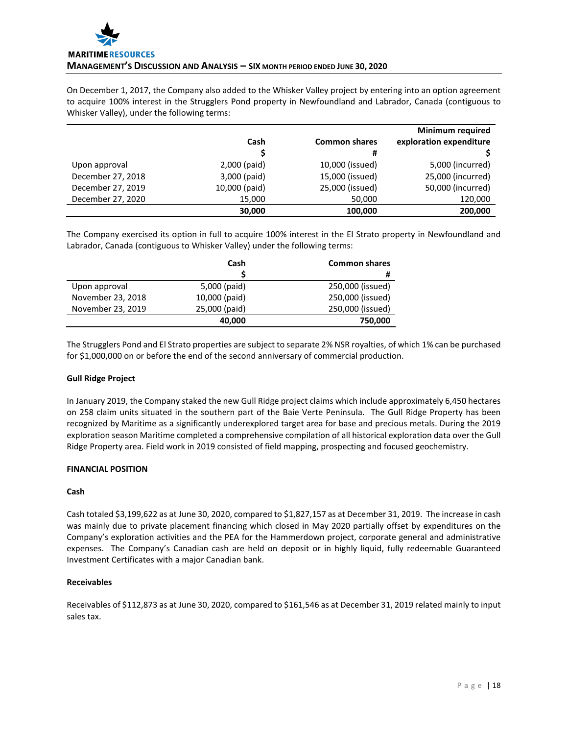

On December 1, 2017, the Company also added to the Whisker Valley project by entering into an option agreement to acquire 100% interest in the Strugglers Pond property in Newfoundland and Labrador, Canada (contiguous to Whisker Valley), under the following terms:

|                   |               |                      | <b>Minimum required</b> |
|-------------------|---------------|----------------------|-------------------------|
|                   | Cash          | <b>Common shares</b> | exploration expenditure |
|                   |               | #                    |                         |
| Upon approval     | 2,000 (paid)  | 10,000 (issued)      | 5,000 (incurred)        |
| December 27, 2018 | 3,000 (paid)  | 15,000 (issued)      | 25,000 (incurred)       |
| December 27, 2019 | 10,000 (paid) | 25,000 (issued)      | 50,000 (incurred)       |
| December 27, 2020 | 15,000        | 50,000               | 120,000                 |
|                   | 30,000        | 100,000              | 200,000                 |

The Company exercised its option in full to acquire 100% interest in the El Strato property in Newfoundland and Labrador, Canada (contiguous to Whisker Valley) under the following terms:

|                   | Cash          | <b>Common shares</b> |
|-------------------|---------------|----------------------|
|                   |               | #                    |
| Upon approval     | 5,000 (paid)  | 250,000 (issued)     |
| November 23, 2018 | 10,000 (paid) | 250,000 (issued)     |
| November 23, 2019 | 25,000 (paid) | 250,000 (issued)     |
|                   | 40,000        | 750,000              |

The Strugglers Pond and El Strato properties are subject to separate 2% NSR royalties, of which 1% can be purchased for \$1,000,000 on or before the end of the second anniversary of commercial production.

## **Gull Ridge Project**

In January 2019, the Company staked the new Gull Ridge project claims which include approximately 6,450 hectares on 258 claim units situated in the southern part of the Baie Verte Peninsula. The Gull Ridge Property has been recognized by Maritime as a significantly underexplored target area for base and precious metals. During the 2019 exploration season Maritime completed a comprehensive compilation of all historical exploration data over the Gull Ridge Property area. Field work in 2019 consisted of field mapping, prospecting and focused geochemistry.

## **FINANCIAL POSITION**

## **Cash**

Cash totaled \$3,199,622 as at June 30, 2020, compared to \$1,827,157 as at December 31, 2019. The increase in cash was mainly due to private placement financing which closed in May 2020 partially offset by expenditures on the Company's exploration activities and the PEA for the Hammerdown project, corporate general and administrative expenses. The Company's Canadian cash are held on deposit or in highly liquid, fully redeemable Guaranteed Investment Certificates with a major Canadian bank.

## **Receivables**

Receivables of \$112,873 as at June 30, 2020, compared to \$161,546 as at December 31, 2019 related mainly to input sales tax.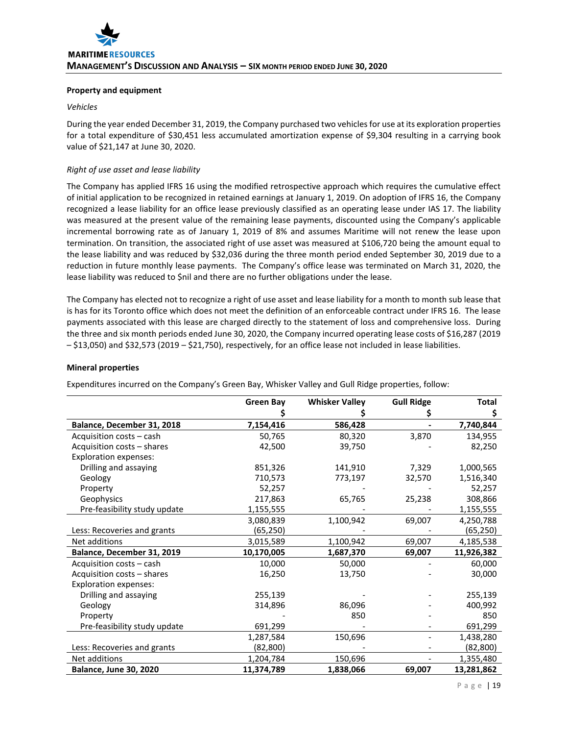## **Property and equipment**

#### *Vehicles*

During the year ended December 31, 2019, the Company purchased two vehicles for use at its exploration properties for a total expenditure of \$30,451 less accumulated amortization expense of \$9,304 resulting in a carrying book value of \$21,147 at June 30, 2020.

# *Right of use asset and lease liability*

The Company has applied IFRS 16 using the modified retrospective approach which requires the cumulative effect of initial application to be recognized in retained earnings at January 1, 2019. On adoption of IFRS 16, the Company recognized a lease liability for an office lease previously classified as an operating lease under IAS 17. The liability was measured at the present value of the remaining lease payments, discounted using the Company's applicable incremental borrowing rate as of January 1, 2019 of 8% and assumes Maritime will not renew the lease upon termination. On transition, the associated right of use asset was measured at \$106,720 being the amount equal to the lease liability and was reduced by \$32,036 during the three month period ended September 30, 2019 due to a reduction in future monthly lease payments. The Company's office lease was terminated on March 31, 2020, the lease liability was reduced to \$nil and there are no further obligations under the lease.

The Company has elected not to recognize a right of use asset and lease liability for a month to month sub lease that is has for its Toronto office which does not meet the definition of an enforceable contract under IFRS 16. The lease payments associated with this lease are charged directly to the statement of loss and comprehensive loss. During the three and six month periods ended June 30, 2020, the Company incurred operating lease costs of \$16,287 (2019 – \$13,050) and \$32,573 (2019 – \$21,750), respectively, for an office lease not included in lease liabilities.

## **Mineral properties**

Expenditures incurred on the Company's Green Bay, Whisker Valley and Gull Ridge properties, follow:

|                               | <b>Green Bay</b> | <b>Whisker Valley</b> | <b>Gull Ridge</b> | <b>Total</b> |
|-------------------------------|------------------|-----------------------|-------------------|--------------|
|                               |                  |                       |                   | \$           |
| Balance, December 31, 2018    | 7,154,416        | 586,428               |                   | 7,740,844    |
| Acquisition costs - cash      | 50,765           | 80,320                | 3,870             | 134,955      |
| Acquisition costs - shares    | 42,500           | 39,750                |                   | 82,250       |
| <b>Exploration expenses:</b>  |                  |                       |                   |              |
| Drilling and assaying         | 851,326          | 141,910               | 7,329             | 1,000,565    |
| Geology                       | 710,573          | 773,197               | 32,570            | 1,516,340    |
| Property                      | 52,257           |                       |                   | 52,257       |
| Geophysics                    | 217,863          | 65,765                | 25,238            | 308,866      |
| Pre-feasibility study update  | 1,155,555        |                       |                   | 1,155,555    |
|                               | 3,080,839        | 1,100,942             | 69,007            | 4,250,788    |
| Less: Recoveries and grants   | (65,250)         |                       |                   | (65,250)     |
| Net additions                 | 3,015,589        | 1,100,942             | 69,007            | 4,185,538    |
| Balance, December 31, 2019    | 10,170,005       | 1,687,370             | 69,007            | 11,926,382   |
| Acquisition costs - cash      | 10,000           | 50,000                |                   | 60,000       |
| Acquisition costs - shares    | 16,250           | 13,750                |                   | 30,000       |
| <b>Exploration expenses:</b>  |                  |                       |                   |              |
| Drilling and assaying         | 255,139          |                       |                   | 255,139      |
| Geology                       | 314,896          | 86,096                |                   | 400,992      |
| Property                      |                  | 850                   |                   | 850          |
| Pre-feasibility study update  | 691,299          |                       |                   | 691,299      |
|                               | 1,287,584        | 150,696               |                   | 1,438,280    |
| Less: Recoveries and grants   | (82, 800)        |                       |                   | (82,800)     |
| Net additions                 | 1,204,784        | 150,696               |                   | 1,355,480    |
| <b>Balance, June 30, 2020</b> | 11,374,789       | 1,838,066             | 69,007            | 13,281,862   |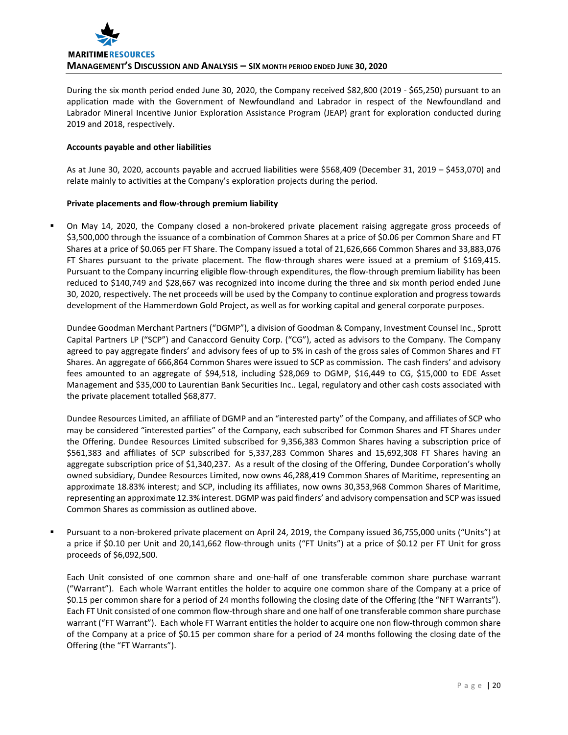

During the six month period ended June 30, 2020, the Company received \$82,800 (2019 - \$65,250) pursuant to an application made with the Government of Newfoundland and Labrador in respect of the Newfoundland and Labrador Mineral Incentive Junior Exploration Assistance Program (JEAP) grant for exploration conducted during 2019 and 2018, respectively.

#### **Accounts payable and other liabilities**

As at June 30, 2020, accounts payable and accrued liabilities were \$568,409 (December 31, 2019 – \$453,070) and relate mainly to activities at the Company's exploration projects during the period.

## **Private placements and flow-through premium liability**

 On May 14, 2020, the Company closed a non-brokered private placement raising aggregate gross proceeds of \$3,500,000 through the issuance of a combination of Common Shares at a price of \$0.06 per Common Share and FT Shares at a price of \$0.065 per FT Share. The Company issued a total of 21,626,666 Common Shares and 33,883,076 FT Shares pursuant to the private placement. The flow-through shares were issued at a premium of \$169,415. Pursuant to the Company incurring eligible flow-through expenditures, the flow-through premium liability has been reduced to \$140,749 and \$28,667 was recognized into income during the three and six month period ended June 30, 2020, respectively. The net proceeds will be used by the Company to continue exploration and progress towards development of the Hammerdown Gold Project, as well as for working capital and general corporate purposes.

Dundee Goodman Merchant Partners ("DGMP"), a division of Goodman & Company, Investment Counsel Inc., Sprott Capital Partners LP ("SCP") and Canaccord Genuity Corp. ("CG"), acted as advisors to the Company. The Company agreed to pay aggregate finders' and advisory fees of up to 5% in cash of the gross sales of Common Shares and FT Shares. An aggregate of 666,864 Common Shares were issued to SCP as commission. The cash finders' and advisory fees amounted to an aggregate of \$94,518, including \$28,069 to DGMP, \$16,449 to CG, \$15,000 to EDE Asset Management and \$35,000 to Laurentian Bank Securities Inc.. Legal, regulatory and other cash costs associated with the private placement totalled \$68,877.

Dundee Resources Limited, an affiliate of DGMP and an "interested party" of the Company, and affiliates of SCP who may be considered "interested parties" of the Company, each subscribed for Common Shares and FT Shares under the Offering. Dundee Resources Limited subscribed for 9,356,383 Common Shares having a subscription price of \$561,383 and affiliates of SCP subscribed for 5,337,283 Common Shares and 15,692,308 FT Shares having an aggregate subscription price of \$1,340,237. As a result of the closing of the Offering, Dundee Corporation's wholly owned subsidiary, Dundee Resources Limited, now owns 46,288,419 Common Shares of Maritime, representing an approximate 18.83% interest; and SCP, including its affiliates, now owns 30,353,968 Common Shares of Maritime, representing an approximate 12.3% interest. DGMP was paid finders' and advisory compensation and SCP was issued Common Shares as commission as outlined above.

 Pursuant to a non-brokered private placement on April 24, 2019, the Company issued 36,755,000 units ("Units") at a price if \$0.10 per Unit and 20,141,662 flow-through units ("FT Units") at a price of \$0.12 per FT Unit for gross proceeds of \$6,092,500.

Each Unit consisted of one common share and one-half of one transferable common share purchase warrant ("Warrant"). Each whole Warrant entitles the holder to acquire one common share of the Company at a price of \$0.15 per common share for a period of 24 months following the closing date of the Offering (the "NFT Warrants"). Each FT Unit consisted of one common flow-through share and one half of one transferable common share purchase warrant ("FT Warrant"). Each whole FT Warrant entitles the holder to acquire one non flow-through common share of the Company at a price of \$0.15 per common share for a period of 24 months following the closing date of the Offering (the "FT Warrants").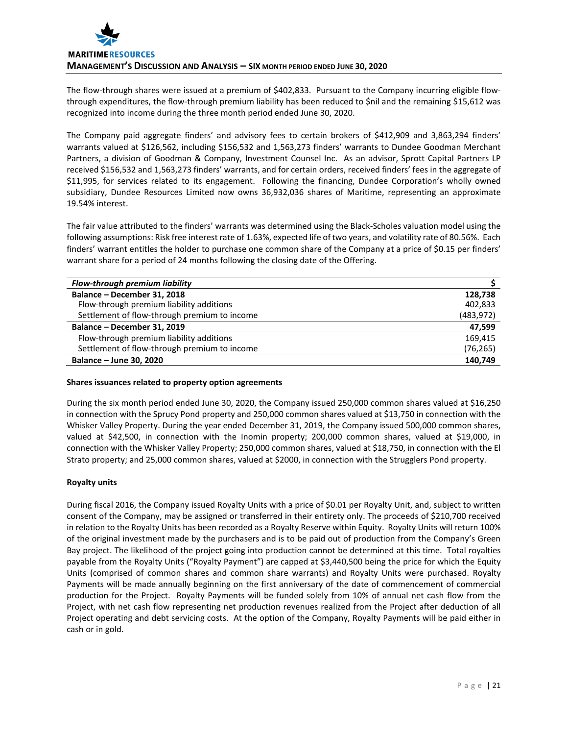The flow-through shares were issued at a premium of \$402,833. Pursuant to the Company incurring eligible flowthrough expenditures, the flow-through premium liability has been reduced to \$nil and the remaining \$15,612 was recognized into income during the three month period ended June 30, 2020.

The Company paid aggregate finders' and advisory fees to certain brokers of \$412,909 and 3,863,294 finders' warrants valued at \$126,562, including \$156,532 and 1,563,273 finders' warrants to Dundee Goodman Merchant Partners, a division of Goodman & Company, Investment Counsel Inc. As an advisor, Sprott Capital Partners LP received \$156,532 and 1,563,273 finders' warrants, and for certain orders, received finders' fees in the aggregate of \$11,995, for services related to its engagement. Following the financing, Dundee Corporation's wholly owned subsidiary, Dundee Resources Limited now owns 36,932,036 shares of Maritime, representing an approximate 19.54% interest.

The fair value attributed to the finders' warrants was determined using the Black-Scholes valuation model using the following assumptions: Risk free interest rate of 1.63%, expected life of two years, and volatility rate of 80.56%. Each finders' warrant entitles the holder to purchase one common share of the Company at a price of \$0.15 per finders' warrant share for a period of 24 months following the closing date of the Offering.

| Flow-through premium liability               |            |
|----------------------------------------------|------------|
| Balance - December 31, 2018                  | 128.738    |
| Flow-through premium liability additions     | 402,833    |
| Settlement of flow-through premium to income | (483, 972) |
| Balance - December 31, 2019                  | 47,599     |
| Flow-through premium liability additions     | 169,415    |
| Settlement of flow-through premium to income | (76,265)   |
| Balance - June 30, 2020                      | 140,749    |

## **Shares issuances related to property option agreements**

During the six month period ended June 30, 2020, the Company issued 250,000 common shares valued at \$16,250 in connection with the Sprucy Pond property and 250,000 common shares valued at \$13,750 in connection with the Whisker Valley Property. During the year ended December 31, 2019, the Company issued 500,000 common shares, valued at \$42,500, in connection with the Inomin property; 200,000 common shares, valued at \$19,000, in connection with the Whisker Valley Property; 250,000 common shares, valued at \$18,750, in connection with the El Strato property; and 25,000 common shares, valued at \$2000, in connection with the Strugglers Pond property.

# **Royalty units**

During fiscal 2016, the Company issued Royalty Units with a price of \$0.01 per Royalty Unit, and, subject to written consent of the Company, may be assigned or transferred in their entirety only. The proceeds of \$210,700 received in relation to the Royalty Units has been recorded as a Royalty Reserve within Equity. Royalty Units will return 100% of the original investment made by the purchasers and is to be paid out of production from the Company's Green Bay project. The likelihood of the project going into production cannot be determined at this time. Total royalties payable from the Royalty Units ("Royalty Payment") are capped at \$3,440,500 being the price for which the Equity Units (comprised of common shares and common share warrants) and Royalty Units were purchased. Royalty Payments will be made annually beginning on the first anniversary of the date of commencement of commercial production for the Project. Royalty Payments will be funded solely from 10% of annual net cash flow from the Project, with net cash flow representing net production revenues realized from the Project after deduction of all Project operating and debt servicing costs. At the option of the Company, Royalty Payments will be paid either in cash or in gold.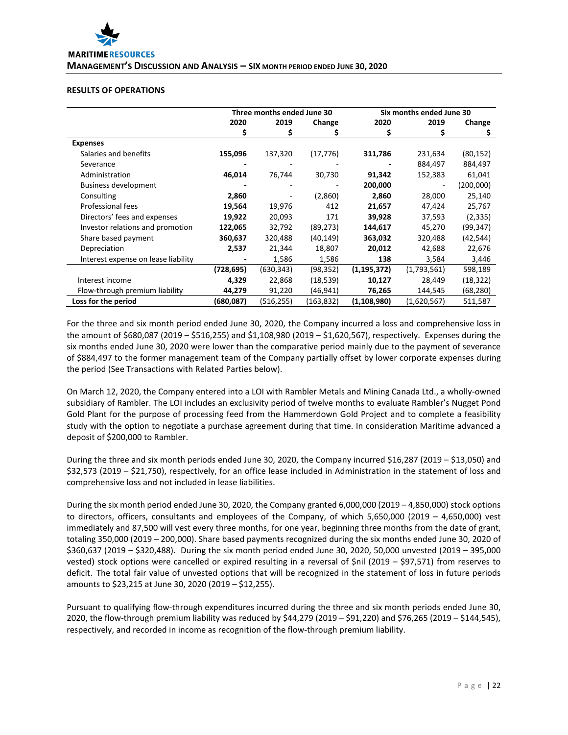

#### **RESULTS OF OPERATIONS**

|                                     | Three months ended June 30 |            |            |               | Six months ended June 30 |           |  |
|-------------------------------------|----------------------------|------------|------------|---------------|--------------------------|-----------|--|
|                                     | 2020                       | 2019       | Change     | 2020          | 2019                     | Change    |  |
|                                     | \$                         | S          | S          | \$            | \$                       | Ş         |  |
| <b>Expenses</b>                     |                            |            |            |               |                          |           |  |
| Salaries and benefits               | 155,096                    | 137,320    | (17, 776)  | 311,786       | 231,634                  | (80, 152) |  |
| Severance                           |                            |            |            |               | 884,497                  | 884,497   |  |
| Administration                      | 46,014                     | 76,744     | 30,730     | 91,342        | 152,383                  | 61,041    |  |
| <b>Business development</b>         |                            |            |            | 200,000       |                          | (200,000) |  |
| Consulting                          | 2,860                      |            | (2,860)    | 2,860         | 28,000                   | 25,140    |  |
| Professional fees                   | 19,564                     | 19,976     | 412        | 21,657        | 47,424                   | 25,767    |  |
| Directors' fees and expenses        | 19,922                     | 20,093     | 171        | 39,928        | 37,593                   | (2, 335)  |  |
| Investor relations and promotion    | 122,065                    | 32,792     | (89, 273)  | 144,617       | 45,270                   | (99,347)  |  |
| Share based payment                 | 360,637                    | 320,488    | (40,149)   | 363,032       | 320,488                  | (42, 544) |  |
| Depreciation                        | 2,537                      | 21,344     | 18,807     | 20,012        | 42,688                   | 22,676    |  |
| Interest expense on lease liability |                            | 1,586      | 1,586      | 138           | 3,584                    | 3,446     |  |
|                                     | (728,695)                  | (630, 343) | (98,352)   | (1, 195, 372) | (1,793,561)              | 598,189   |  |
| Interest income                     | 4,329                      | 22,868     | (18,539)   | 10,127        | 28,449                   | (18, 322) |  |
| Flow-through premium liability      | 44,279                     | 91,220     | (46,941)   | 76,265        | 144,545                  | (68, 280) |  |
| Loss for the period                 | (680,087)                  | (516,255)  | (163, 832) | (1,108,980)   | (1,620,567)              | 511,587   |  |

For the three and six month period ended June 30, 2020, the Company incurred a loss and comprehensive loss in the amount of \$680,087 (2019 – \$516,255) and \$1,108,980 (2019 – \$1,620,567), respectively. Expenses during the six months ended June 30, 2020 were lower than the comparative period mainly due to the payment of severance of \$884,497 to the former management team of the Company partially offset by lower corporate expenses during the period (See Transactions with Related Parties below).

On March 12, 2020, the Company entered into a LOI with Rambler Metals and Mining Canada Ltd., a wholly-owned subsidiary of Rambler. The LOI includes an exclusivity period of twelve months to evaluate Rambler's Nugget Pond Gold Plant for the purpose of processing feed from the Hammerdown Gold Project and to complete a feasibility study with the option to negotiate a purchase agreement during that time. In consideration Maritime advanced a deposit of \$200,000 to Rambler.

During the three and six month periods ended June 30, 2020, the Company incurred \$16,287 (2019 – \$13,050) and \$32,573 (2019 – \$21,750), respectively, for an office lease included in Administration in the statement of loss and comprehensive loss and not included in lease liabilities.

During the six month period ended June 30, 2020, the Company granted 6,000,000 (2019 – 4,850,000) stock options to directors, officers, consultants and employees of the Company, of which 5,650,000 (2019 – 4,650,000) vest immediately and 87,500 will vest every three months, for one year, beginning three months from the date of grant, totaling 350,000 (2019 – 200,000). Share based payments recognized during the six months ended June 30, 2020 of \$360,637 (2019 – \$320,488). During the six month period ended June 30, 2020, 50,000 unvested (2019 – 395,000 vested) stock options were cancelled or expired resulting in a reversal of \$nil (2019 – \$97,571) from reserves to deficit. The total fair value of unvested options that will be recognized in the statement of loss in future periods amounts to \$23,215 at June 30, 2020 (2019 – \$12,255).

Pursuant to qualifying flow-through expenditures incurred during the three and six month periods ended June 30, 2020, the flow-through premium liability was reduced by \$44,279 (2019 – \$91,220) and \$76,265 (2019 – \$144,545), respectively, and recorded in income as recognition of the flow-through premium liability.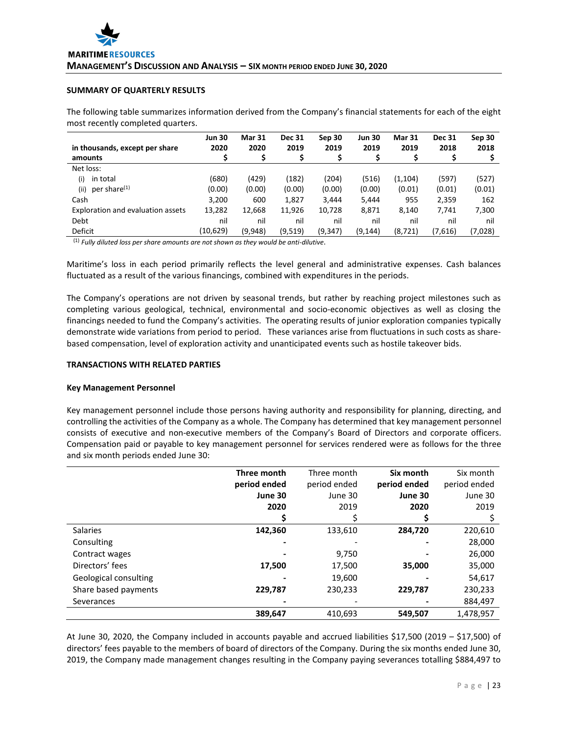# **SUMMARY OF QUARTERLY RESULTS**

The following table summarizes information derived from the Company's financial statements for each of the eight most recently completed quarters.

| in thousands, except per share    | <b>Jun 30</b><br>2020 | <b>Mar 31</b><br>2020 | <b>Dec 31</b><br>2019 | Sep 30<br>2019 | <b>Jun 30</b><br>2019 | <b>Mar 31</b><br>2019 | <b>Dec 31</b><br>2018 | Sep 30<br>2018 |
|-----------------------------------|-----------------------|-----------------------|-----------------------|----------------|-----------------------|-----------------------|-----------------------|----------------|
| amounts                           | S                     | S                     | \$                    |                |                       |                       |                       |                |
| Net loss:                         |                       |                       |                       |                |                       |                       |                       |                |
| in total<br>(i)                   | (680)                 | (429)                 | (182)                 | (204)          | (516)                 | (1, 104)              | (597)                 | (527)          |
| per share <sup>(1)</sup><br>(iii) | (0.00)                | (0.00)                | (0.00)                | (0.00)         | (0.00)                | (0.01)                | (0.01)                | (0.01)         |
| Cash                              | 3,200                 | 600                   | 1,827                 | 3,444          | 5,444                 | 955                   | 2,359                 | 162            |
| Exploration and evaluation assets | 13,282                | 12,668                | 11,926                | 10,728         | 8,871                 | 8,140                 | 7,741                 | 7,300          |
| Debt                              | nil                   | nil                   | nil                   | nil            | nil                   | nil                   | nil                   | nil            |
| Deficit                           | (10,629)              | (9,948)               | (9,519)               | (9, 347)       | (9, 144)              | (8, 721)              | (7,616)               | (7,028)        |

(1) *Fully diluted loss per share amounts are not shown as they would be anti-dilutive*.

Maritime's loss in each period primarily reflects the level general and administrative expenses. Cash balances fluctuated as a result of the various financings, combined with expenditures in the periods.

The Company's operations are not driven by seasonal trends, but rather by reaching project milestones such as completing various geological, technical, environmental and socio-economic objectives as well as closing the financings needed to fund the Company's activities. The operating results of junior exploration companies typically demonstrate wide variations from period to period. These variances arise from fluctuations in such costs as sharebased compensation, level of exploration activity and unanticipated events such as hostile takeover bids.

#### **TRANSACTIONS WITH RELATED PARTIES**

#### **Key Management Personnel**

Key management personnel include those persons having authority and responsibility for planning, directing, and controlling the activities of the Company as a whole. The Company has determined that key management personnel consists of executive and non-executive members of the Company's Board of Directors and corporate officers. Compensation paid or payable to key management personnel for services rendered were as follows for the three and six month periods ended June 30:

|                       | Three month  | Three month  | Six month    | Six month    |
|-----------------------|--------------|--------------|--------------|--------------|
|                       | period ended | period ended | period ended | period ended |
|                       | June 30      | June 30      | June 30      | June 30      |
|                       | 2020         | 2019         | 2020         | 2019         |
|                       |              |              |              |              |
| <b>Salaries</b>       | 142,360      | 133,610      | 284,720      | 220,610      |
| Consulting            |              |              |              | 28,000       |
| Contract wages        |              | 9,750        |              | 26,000       |
| Directors' fees       | 17,500       | 17,500       | 35,000       | 35,000       |
| Geological consulting |              | 19,600       |              | 54,617       |
| Share based payments  | 229,787      | 230,233      | 229,787      | 230,233      |
| Severances            |              |              |              | 884,497      |
|                       | 389,647      | 410.693      | 549,507      | 1,478,957    |

At June 30, 2020, the Company included in accounts payable and accrued liabilities \$17,500 (2019 – \$17,500) of directors' fees payable to the members of board of directors of the Company. During the six months ended June 30, 2019, the Company made management changes resulting in the Company paying severances totalling \$884,497 to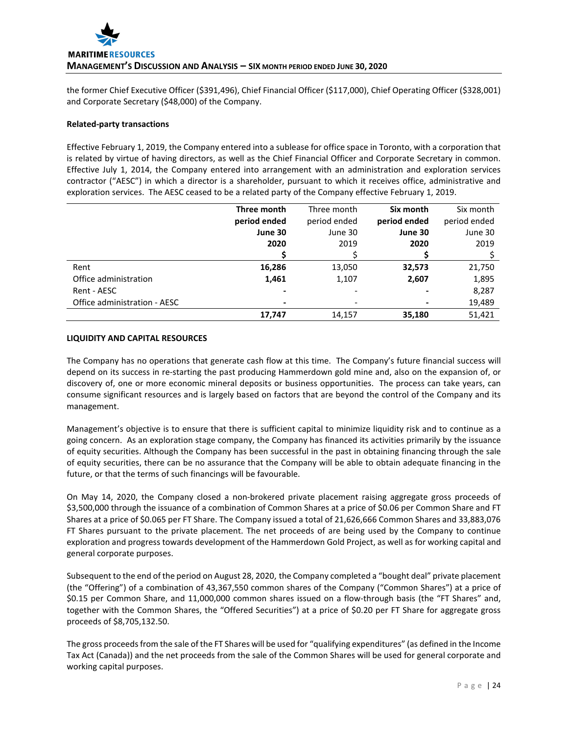the former Chief Executive Officer (\$391,496), Chief Financial Officer (\$117,000), Chief Operating Officer (\$328,001) and Corporate Secretary (\$48,000) of the Company.

## **Related-party transactions**

Effective February 1, 2019, the Company entered into a sublease for office space in Toronto, with a corporation that is related by virtue of having directors, as well as the Chief Financial Officer and Corporate Secretary in common. Effective July 1, 2014, the Company entered into arrangement with an administration and exploration services contractor ("AESC") in which a director is a shareholder, pursuant to which it receives office, administrative and exploration services. The AESC ceased to be a related party of the Company effective February 1, 2019.

|                              | Three month  | Three month  | Six month      | Six month    |
|------------------------------|--------------|--------------|----------------|--------------|
|                              | period ended | period ended | period ended   | period ended |
|                              | June 30      | June 30      | June 30        | June 30      |
|                              | 2020         | 2019         | 2020           | 2019         |
|                              |              |              |                |              |
| Rent                         | 16,286       | 13,050       | 32,573         | 21,750       |
| Office administration        | 1,461        | 1,107        | 2,607          | 1,895        |
| Rent - AESC                  |              |              |                | 8,287        |
| Office administration - AESC |              |              | $\blacksquare$ | 19,489       |
|                              | 17,747       | 14,157       | 35,180         | 51,421       |

## **LIQUIDITY AND CAPITAL RESOURCES**

The Company has no operations that generate cash flow at this time. The Company's future financial success will depend on its success in re-starting the past producing Hammerdown gold mine and, also on the expansion of, or discovery of, one or more economic mineral deposits or business opportunities. The process can take years, can consume significant resources and is largely based on factors that are beyond the control of the Company and its management.

Management's objective is to ensure that there is sufficient capital to minimize liquidity risk and to continue as a going concern. As an exploration stage company, the Company has financed its activities primarily by the issuance of equity securities. Although the Company has been successful in the past in obtaining financing through the sale of equity securities, there can be no assurance that the Company will be able to obtain adequate financing in the future, or that the terms of such financings will be favourable.

On May 14, 2020, the Company closed a non-brokered private placement raising aggregate gross proceeds of \$3,500,000 through the issuance of a combination of Common Shares at a price of \$0.06 per Common Share and FT Shares at a price of \$0.065 per FT Share. The Company issued a total of 21,626,666 Common Shares and 33,883,076 FT Shares pursuant to the private placement. The net proceeds of are being used by the Company to continue exploration and progress towards development of the Hammerdown Gold Project, as well as for working capital and general corporate purposes.

Subsequent to the end of the period on August 28, 2020, the Company completed a "bought deal" private placement (the "Offering") of a combination of 43,367,550 common shares of the Company ("Common Shares") at a price of \$0.15 per Common Share, and 11,000,000 common shares issued on a flow-through basis (the "FT Shares" and, together with the Common Shares, the "Offered Securities") at a price of \$0.20 per FT Share for aggregate gross proceeds of \$8,705,132.50.

The gross proceeds from the sale of the FT Shares will be used for "qualifying expenditures" (as defined in the Income Tax Act (Canada)) and the net proceeds from the sale of the Common Shares will be used for general corporate and working capital purposes.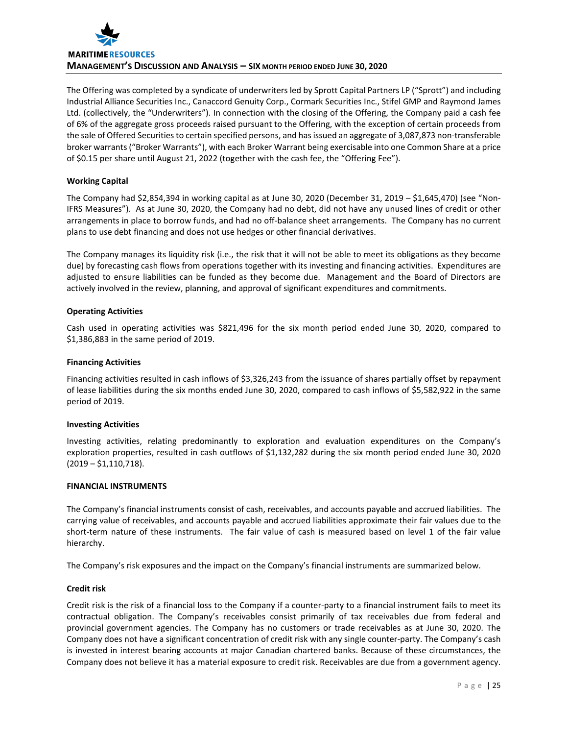

The Offering was completed by a syndicate of underwriters led by Sprott Capital Partners LP ("Sprott") and including Industrial Alliance Securities Inc., Canaccord Genuity Corp., Cormark Securities Inc., Stifel GMP and Raymond James Ltd. (collectively, the "Underwriters"). In connection with the closing of the Offering, the Company paid a cash fee of 6% of the aggregate gross proceeds raised pursuant to the Offering, with the exception of certain proceeds from the sale of Offered Securities to certain specified persons, and has issued an aggregate of 3,087,873 non-transferable broker warrants ("Broker Warrants"), with each Broker Warrant being exercisable into one Common Share at a price of \$0.15 per share until August 21, 2022 (together with the cash fee, the "Offering Fee").

# **Working Capital**

The Company had \$2,854,394 in working capital as at June 30, 2020 (December 31, 2019 – \$1,645,470) (see "Non-IFRS Measures"). As at June 30, 2020, the Company had no debt, did not have any unused lines of credit or other arrangements in place to borrow funds, and had no off-balance sheet arrangements. The Company has no current plans to use debt financing and does not use hedges or other financial derivatives.

The Company manages its liquidity risk (i.e., the risk that it will not be able to meet its obligations as they become due) by forecasting cash flows from operations together with its investing and financing activities. Expenditures are adjusted to ensure liabilities can be funded as they become due. Management and the Board of Directors are actively involved in the review, planning, and approval of significant expenditures and commitments.

## **Operating Activities**

Cash used in operating activities was \$821,496 for the six month period ended June 30, 2020, compared to \$1,386,883 in the same period of 2019.

## **Financing Activities**

Financing activities resulted in cash inflows of \$3,326,243 from the issuance of shares partially offset by repayment of lease liabilities during the six months ended June 30, 2020, compared to cash inflows of \$5,582,922 in the same period of 2019.

## **Investing Activities**

Investing activities, relating predominantly to exploration and evaluation expenditures on the Company's exploration properties, resulted in cash outflows of \$1,132,282 during the six month period ended June 30, 2020 (2019 – \$1,110,718).

## **FINANCIAL INSTRUMENTS**

The Company's financial instruments consist of cash, receivables, and accounts payable and accrued liabilities. The carrying value of receivables, and accounts payable and accrued liabilities approximate their fair values due to the short-term nature of these instruments. The fair value of cash is measured based on level 1 of the fair value hierarchy.

The Company's risk exposures and the impact on the Company's financial instruments are summarized below.

## **Credit risk**

Credit risk is the risk of a financial loss to the Company if a counter-party to a financial instrument fails to meet its contractual obligation. The Company's receivables consist primarily of tax receivables due from federal and provincial government agencies. The Company has no customers or trade receivables as at June 30, 2020. The Company does not have a significant concentration of credit risk with any single counter-party. The Company's cash is invested in interest bearing accounts at major Canadian chartered banks. Because of these circumstances, the Company does not believe it has a material exposure to credit risk. Receivables are due from a government agency.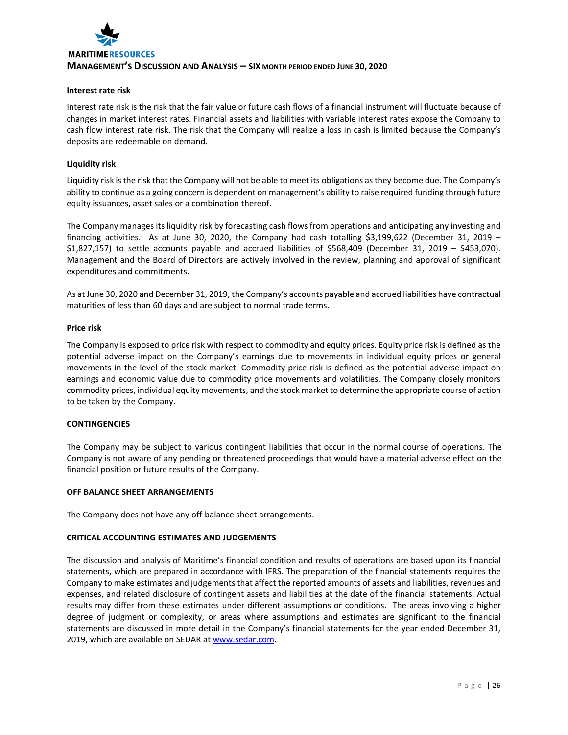#### **Interest rate risk**

Interest rate risk is the risk that the fair value or future cash flows of a financial instrument will fluctuate because of changes in market interest rates. Financial assets and liabilities with variable interest rates expose the Company to cash flow interest rate risk. The risk that the Company will realize a loss in cash is limited because the Company's deposits are redeemable on demand.

#### **Liquidity risk**

Liquidity risk is the risk that the Company will not be able to meet its obligations as they become due. The Company's ability to continue as a going concern is dependent on management's ability to raise required funding through future equity issuances, asset sales or a combination thereof.

The Company manages its liquidity risk by forecasting cash flows from operations and anticipating any investing and financing activities. As at June 30, 2020, the Company had cash totalling \$3,199,622 (December 31, 2019 – \$1,827,157) to settle accounts payable and accrued liabilities of \$568,409 (December 31, 2019 – \$453,070). Management and the Board of Directors are actively involved in the review, planning and approval of significant expenditures and commitments.

As at June 30, 2020 and December 31, 2019, the Company's accounts payable and accrued liabilities have contractual maturities of less than 60 days and are subject to normal trade terms.

#### **Price risk**

The Company is exposed to price risk with respect to commodity and equity prices. Equity price risk is defined as the potential adverse impact on the Company's earnings due to movements in individual equity prices or general movements in the level of the stock market. Commodity price risk is defined as the potential adverse impact on earnings and economic value due to commodity price movements and volatilities. The Company closely monitors commodity prices, individual equity movements, and the stock market to determine the appropriate course of action to be taken by the Company.

# **CONTINGENCIES**

The Company may be subject to various contingent liabilities that occur in the normal course of operations. The Company is not aware of any pending or threatened proceedings that would have a material adverse effect on the financial position or future results of the Company.

#### **OFF BALANCE SHEET ARRANGEMENTS**

The Company does not have any off-balance sheet arrangements.

## **CRITICAL ACCOUNTING ESTIMATES AND JUDGEMENTS**

The discussion and analysis of Maritime's financial condition and results of operations are based upon its financial statements, which are prepared in accordance with IFRS. The preparation of the financial statements requires the Company to make estimates and judgements that affect the reported amounts of assets and liabilities, revenues and expenses, and related disclosure of contingent assets and liabilities at the date of the financial statements. Actual results may differ from these estimates under different assumptions or conditions. The areas involving a higher degree of judgment or complexity, or areas where assumptions and estimates are significant to the financial statements are discussed in more detail in the Company's financial statements for the year ended December 31, 2019, which are available on SEDAR a[t www.sedar.com.](http://www.sedar.com/)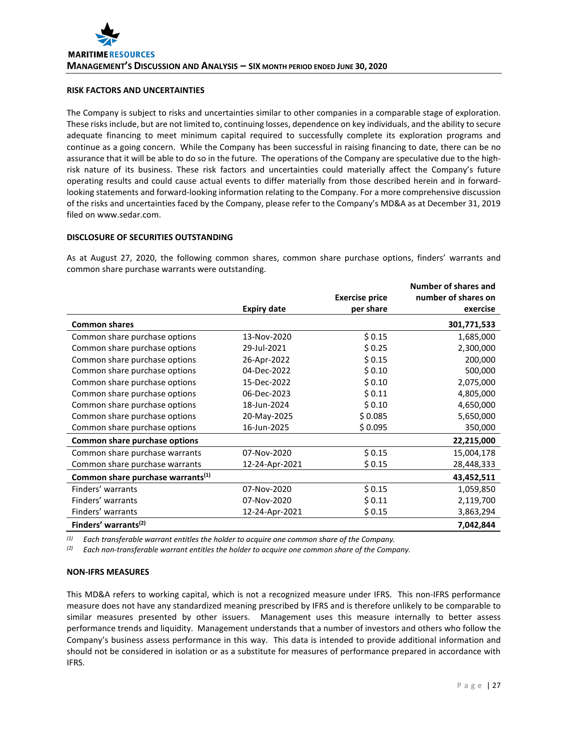# **RISK FACTORS AND UNCERTAINTIES**

The Company is subject to risks and uncertainties similar to other companies in a comparable stage of exploration. These risks include, but are not limited to, continuing losses, dependence on key individuals, and the ability to secure adequate financing to meet minimum capital required to successfully complete its exploration programs and continue as a going concern. While the Company has been successful in raising financing to date, there can be no assurance that it will be able to do so in the future. The operations of the Company are speculative due to the highrisk nature of its business. These risk factors and uncertainties could materially affect the Company's future operating results and could cause actual events to differ materially from those described herein and in forwardlooking statements and forward-looking information relating to the Company. For a more comprehensive discussion of the risks and uncertainties faced by the Company, please refer to the Company's MD&A as at December 31, 2019 filed on www.sedar.com.

## **DISCLOSURE OF SECURITIES OUTSTANDING**

As at August 27, 2020, the following common shares, common share purchase options, finders' warrants and common share purchase warrants were outstanding.

|                                               |                    |                       | Number of shares and |
|-----------------------------------------------|--------------------|-----------------------|----------------------|
|                                               |                    | <b>Exercise price</b> | number of shares on  |
|                                               | <b>Expiry date</b> | per share             | exercise             |
| <b>Common shares</b>                          |                    |                       | 301,771,533          |
| Common share purchase options                 | 13-Nov-2020        | \$0.15                | 1,685,000            |
| Common share purchase options                 | 29-Jul-2021        | \$0.25                | 2,300,000            |
| Common share purchase options                 | 26-Apr-2022        | \$0.15                | 200,000              |
| Common share purchase options                 | 04-Dec-2022        | \$0.10                | 500,000              |
| Common share purchase options                 | 15-Dec-2022        | \$0.10                | 2,075,000            |
| Common share purchase options                 | 06-Dec-2023        | \$0.11                | 4,805,000            |
| Common share purchase options                 | 18-Jun-2024        | \$0.10                | 4,650,000            |
| Common share purchase options                 | 20-May-2025        | \$0.085               | 5,650,000            |
| Common share purchase options                 | 16-Jun-2025        | \$0.095               | 350,000              |
| Common share purchase options                 |                    |                       | 22,215,000           |
| Common share purchase warrants                | 07-Nov-2020        | \$0.15                | 15,004,178           |
| Common share purchase warrants                | 12-24-Apr-2021     | \$0.15                | 28,448,333           |
| Common share purchase warrants <sup>(1)</sup> |                    |                       | 43,452,511           |
| Finders' warrants                             | 07-Nov-2020        | \$0.15                | 1,059,850            |
| Finders' warrants                             | 07-Nov-2020        | \$0.11                | 2,119,700            |
| Finders' warrants                             | 12-24-Apr-2021     | \$0.15                | 3,863,294            |
| Finders' warrants <sup>(2)</sup>              |                    |                       | 7,042,844            |

*(1) Each transferable warrant entitles the holder to acquire one common share of the Company.*

*(2) Each non-transferable warrant entitles the holder to acquire one common share of the Company.*

# **NON-IFRS MEASURES**

This MD&A refers to working capital, which is not a recognized measure under IFRS. This non-IFRS performance measure does not have any standardized meaning prescribed by IFRS and is therefore unlikely to be comparable to similar measures presented by other issuers. Management uses this measure internally to better assess performance trends and liquidity. Management understands that a number of investors and others who follow the Company's business assess performance in this way. This data is intended to provide additional information and should not be considered in isolation or as a substitute for measures of performance prepared in accordance with IFRS.